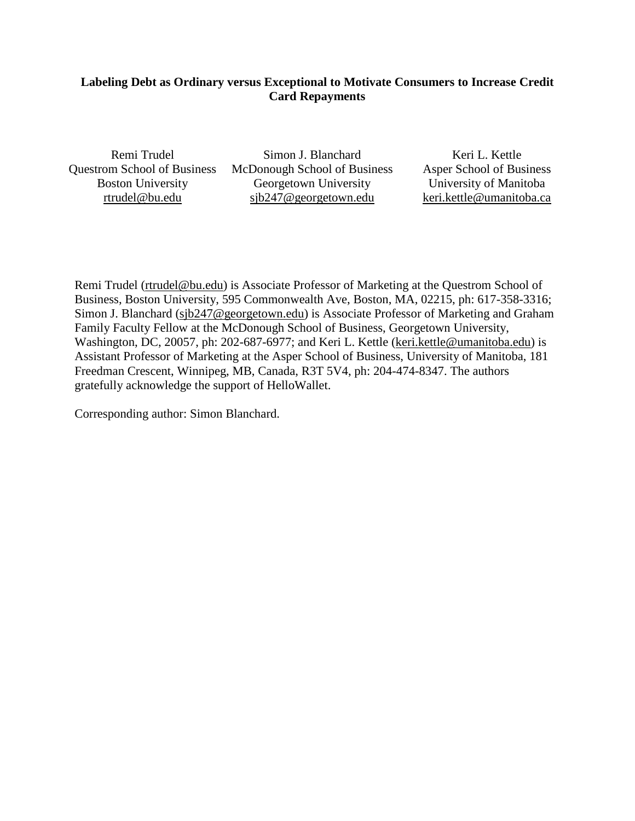## **Labeling Debt as Ordinary versus Exceptional to Motivate Consumers to Increase Credit Card Repayments**

Remi Trudel Questrom School of Business Boston University [rtrudel@bu.edu](mailto:rtrudel@bu.edu) 

Simon J. Blanchard McDonough School of Business Georgetown University [sjb247@georgetown.edu](mailto:sjb247@georgetown.edu)

Keri L. Kettle Asper School of Business University of Manitoba [keri.kettle@umanitoba.ca](mailto:keri.kettle@umanitoba.ca)

Remi Trudel [\(rtrudel@bu.edu\)](mailto:rtrudel@bu.edu) is Associate Professor of Marketing at the Questrom School of Business, Boston University, 595 Commonwealth Ave, Boston, MA, 02215, ph: 617-358-3316; Simon J. Blanchard [\(sjb247@georgetown.edu\)](mailto:sjb247@georgetown.edu) is Associate Professor of Marketing and Graham Family Faculty Fellow at the McDonough School of Business, Georgetown University, Washington, DC, 20057, ph: 202-687-6977; and Keri L. Kettle (keri.kettle@umanitoba.edu) is Assistant Professor of Marketing at the Asper School of Business, University of Manitoba, 181 Freedman Crescent, Winnipeg, MB, Canada, R3T 5V4, ph: 204-474-8347. The authors gratefully acknowledge the support of HelloWallet.

Corresponding author: Simon Blanchard.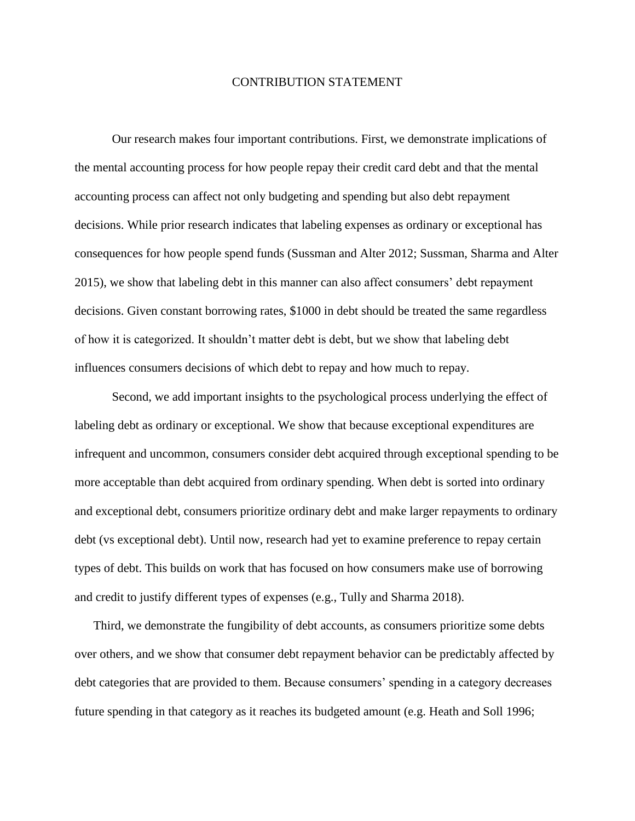#### CONTRIBUTION STATEMENT

Our research makes four important contributions. First, we demonstrate implications of the mental accounting process for how people repay their credit card debt and that the mental accounting process can affect not only budgeting and spending but also debt repayment decisions. While prior research indicates that labeling expenses as ordinary or exceptional has consequences for how people spend funds (Sussman and Alter 2012; Sussman, Sharma and Alter 2015), we show that labeling debt in this manner can also affect consumers' debt repayment decisions. Given constant borrowing rates, \$1000 in debt should be treated the same regardless of how it is categorized. It shouldn't matter debt is debt, but we show that labeling debt influences consumers decisions of which debt to repay and how much to repay.

Second, we add important insights to the psychological process underlying the effect of labeling debt as ordinary or exceptional. We show that because exceptional expenditures are infrequent and uncommon, consumers consider debt acquired through exceptional spending to be more acceptable than debt acquired from ordinary spending. When debt is sorted into ordinary and exceptional debt, consumers prioritize ordinary debt and make larger repayments to ordinary debt (vs exceptional debt). Until now, research had yet to examine preference to repay certain types of debt. This builds on work that has focused on how consumers make use of borrowing and credit to justify different types of expenses (e.g., Tully and Sharma 2018).

Third, we demonstrate the fungibility of debt accounts, as consumers prioritize some debts over others, and we show that consumer debt repayment behavior can be predictably affected by debt categories that are provided to them. Because consumers' spending in a category decreases future spending in that category as it reaches its budgeted amount (e.g. Heath and Soll 1996;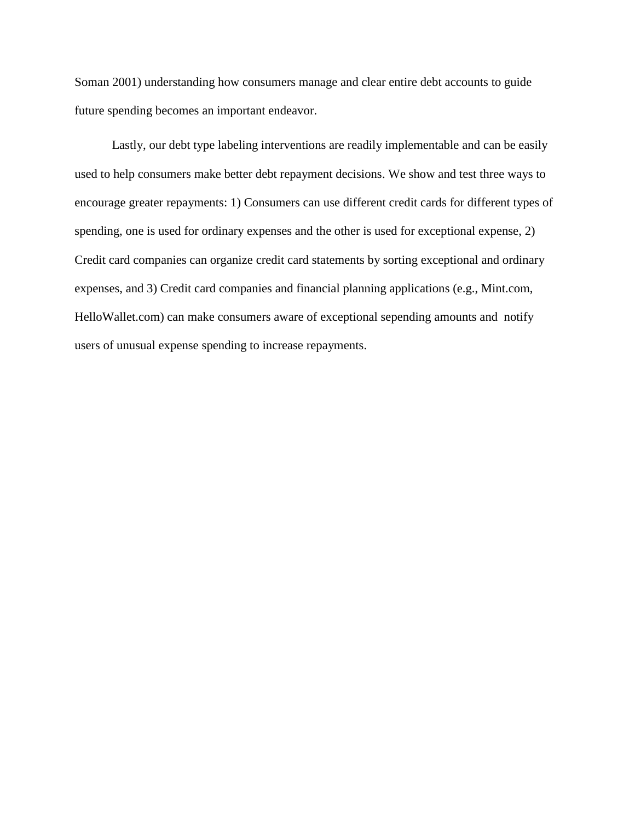Soman 2001) understanding how consumers manage and clear entire debt accounts to guide future spending becomes an important endeavor.

Lastly, our debt type labeling interventions are readily implementable and can be easily used to help consumers make better debt repayment decisions. We show and test three ways to encourage greater repayments: 1) Consumers can use different credit cards for different types of spending, one is used for ordinary expenses and the other is used for exceptional expense, 2) Credit card companies can organize credit card statements by sorting exceptional and ordinary expenses, and 3) Credit card companies and financial planning applications (e.g., Mint.com, HelloWallet.com) can make consumers aware of exceptional sepending amounts and notify users of unusual expense spending to increase repayments.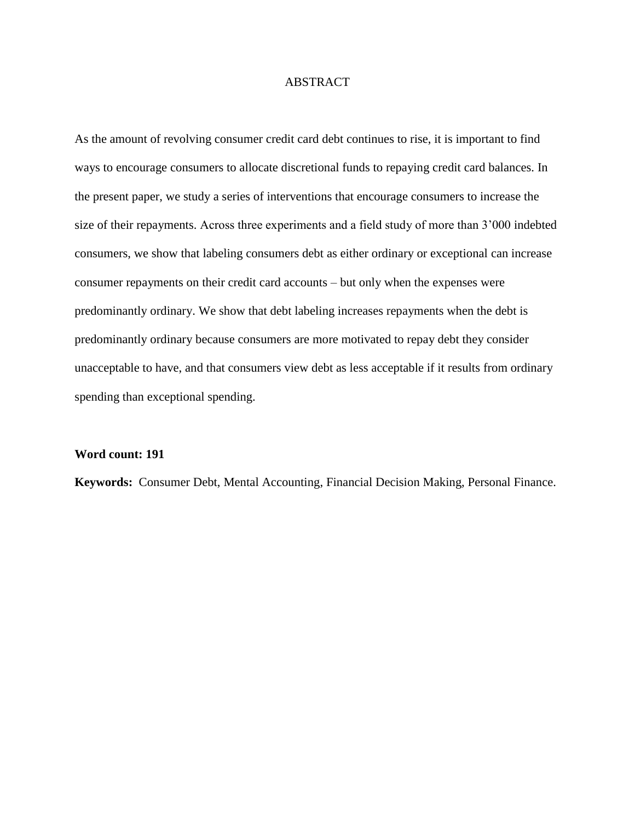#### ABSTRACT

As the amount of revolving consumer credit card debt continues to rise, it is important to find ways to encourage consumers to allocate discretional funds to repaying credit card balances. In the present paper, we study a series of interventions that encourage consumers to increase the size of their repayments. Across three experiments and a field study of more than 3'000 indebted consumers, we show that labeling consumers debt as either ordinary or exceptional can increase consumer repayments on their credit card accounts – but only when the expenses were predominantly ordinary. We show that debt labeling increases repayments when the debt is predominantly ordinary because consumers are more motivated to repay debt they consider unacceptable to have, and that consumers view debt as less acceptable if it results from ordinary spending than exceptional spending.

#### **Word count: 191**

**Keywords:** Consumer Debt, Mental Accounting, Financial Decision Making, Personal Finance.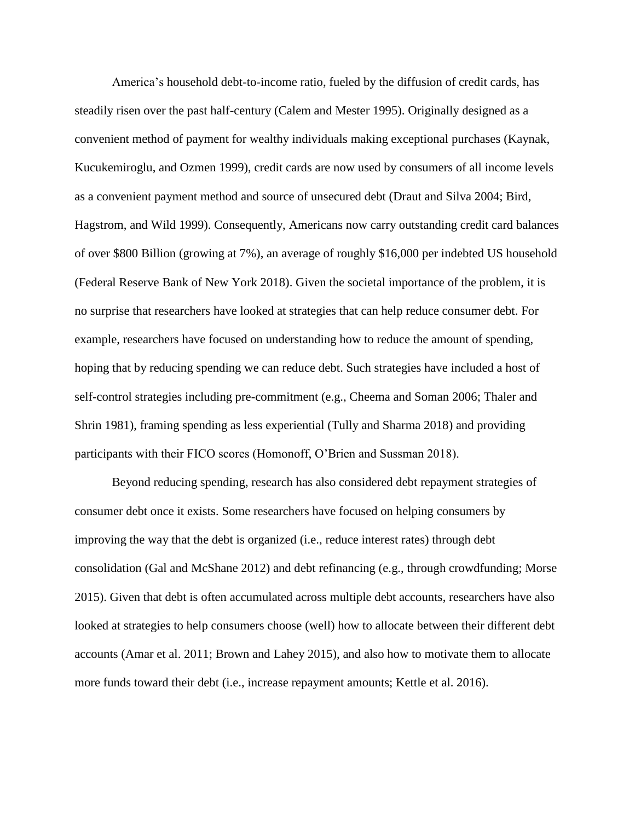America's household debt-to-income ratio, fueled by the diffusion of credit cards, has steadily risen over the past half-century (Calem and Mester 1995). Originally designed as a convenient method of payment for wealthy individuals making exceptional purchases (Kaynak, Kucukemiroglu, and Ozmen 1999), credit cards are now used by consumers of all income levels as a convenient payment method and source of unsecured debt (Draut and Silva 2004; Bird, Hagstrom, and Wild 1999). Consequently, Americans now carry outstanding credit card balances of over \$800 Billion (growing at 7%), an average of roughly \$16,000 per indebted US household (Federal Reserve Bank of New York 2018). Given the societal importance of the problem, it is no surprise that researchers have looked at strategies that can help reduce consumer debt. For example, researchers have focused on understanding how to reduce the amount of spending, hoping that by reducing spending we can reduce debt. Such strategies have included a host of self-control strategies including pre-commitment (e.g., Cheema and Soman 2006; Thaler and Shrin 1981), framing spending as less experiential (Tully and Sharma 2018) and providing participants with their FICO scores (Homonoff, O'Brien and Sussman 2018).

Beyond reducing spending, research has also considered debt repayment strategies of consumer debt once it exists. Some researchers have focused on helping consumers by improving the way that the debt is organized (i.e., reduce interest rates) through debt consolidation (Gal and McShane 2012) and debt refinancing (e.g., through crowdfunding; Morse 2015). Given that debt is often accumulated across multiple debt accounts, researchers have also looked at strategies to help consumers choose (well) how to allocate between their different debt accounts (Amar et al. 2011; Brown and Lahey 2015), and also how to motivate them to allocate more funds toward their debt (i.e., increase repayment amounts; Kettle et al. 2016).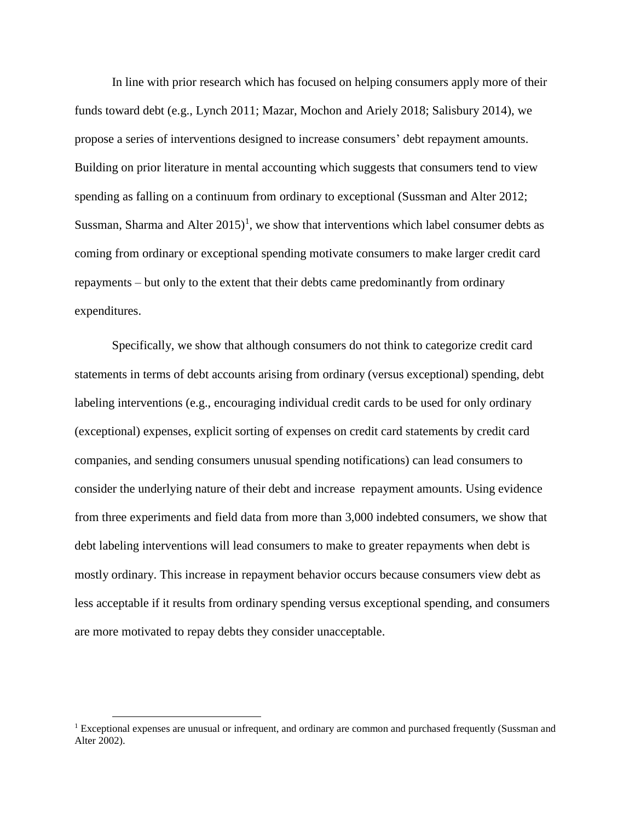In line with prior research which has focused on helping consumers apply more of their funds toward debt (e.g., Lynch 2011; Mazar, Mochon and Ariely 2018; Salisbury 2014), we propose a series of interventions designed to increase consumers' debt repayment amounts. Building on prior literature in mental accounting which suggests that consumers tend to view spending as falling on a continuum from ordinary to exceptional (Sussman and Alter 2012; Sussman, Sharma and Alter  $2015$ <sup>1</sup>, we show that interventions which label consumer debts as coming from ordinary or exceptional spending motivate consumers to make larger credit card repayments – but only to the extent that their debts came predominantly from ordinary expenditures.

Specifically, we show that although consumers do not think to categorize credit card statements in terms of debt accounts arising from ordinary (versus exceptional) spending, debt labeling interventions (e.g., encouraging individual credit cards to be used for only ordinary (exceptional) expenses, explicit sorting of expenses on credit card statements by credit card companies, and sending consumers unusual spending notifications) can lead consumers to consider the underlying nature of their debt and increase repayment amounts. Using evidence from three experiments and field data from more than 3,000 indebted consumers, we show that debt labeling interventions will lead consumers to make to greater repayments when debt is mostly ordinary. This increase in repayment behavior occurs because consumers view debt as less acceptable if it results from ordinary spending versus exceptional spending, and consumers are more motivated to repay debts they consider unacceptable.

 $\overline{a}$ 

<sup>&</sup>lt;sup>1</sup> Exceptional expenses are unusual or infrequent, and ordinary are common and purchased frequently (Sussman and Alter 2002).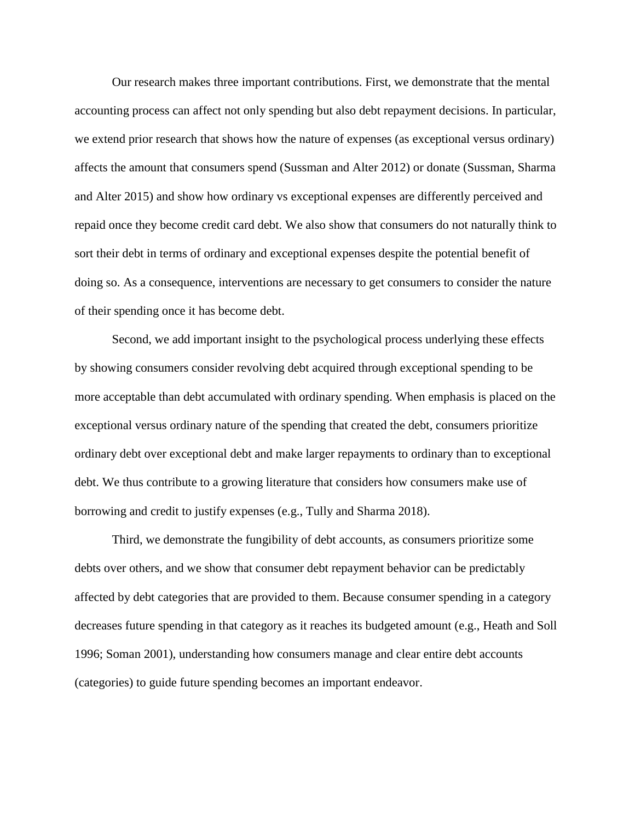Our research makes three important contributions. First, we demonstrate that the mental accounting process can affect not only spending but also debt repayment decisions. In particular, we extend prior research that shows how the nature of expenses (as exceptional versus ordinary) affects the amount that consumers spend (Sussman and Alter 2012) or donate (Sussman, Sharma and Alter 2015) and show how ordinary vs exceptional expenses are differently perceived and repaid once they become credit card debt. We also show that consumers do not naturally think to sort their debt in terms of ordinary and exceptional expenses despite the potential benefit of doing so. As a consequence, interventions are necessary to get consumers to consider the nature of their spending once it has become debt.

Second, we add important insight to the psychological process underlying these effects by showing consumers consider revolving debt acquired through exceptional spending to be more acceptable than debt accumulated with ordinary spending. When emphasis is placed on the exceptional versus ordinary nature of the spending that created the debt, consumers prioritize ordinary debt over exceptional debt and make larger repayments to ordinary than to exceptional debt. We thus contribute to a growing literature that considers how consumers make use of borrowing and credit to justify expenses (e.g., Tully and Sharma 2018).

Third, we demonstrate the fungibility of debt accounts, as consumers prioritize some debts over others, and we show that consumer debt repayment behavior can be predictably affected by debt categories that are provided to them. Because consumer spending in a category decreases future spending in that category as it reaches its budgeted amount (e.g., Heath and Soll 1996; Soman 2001), understanding how consumers manage and clear entire debt accounts (categories) to guide future spending becomes an important endeavor.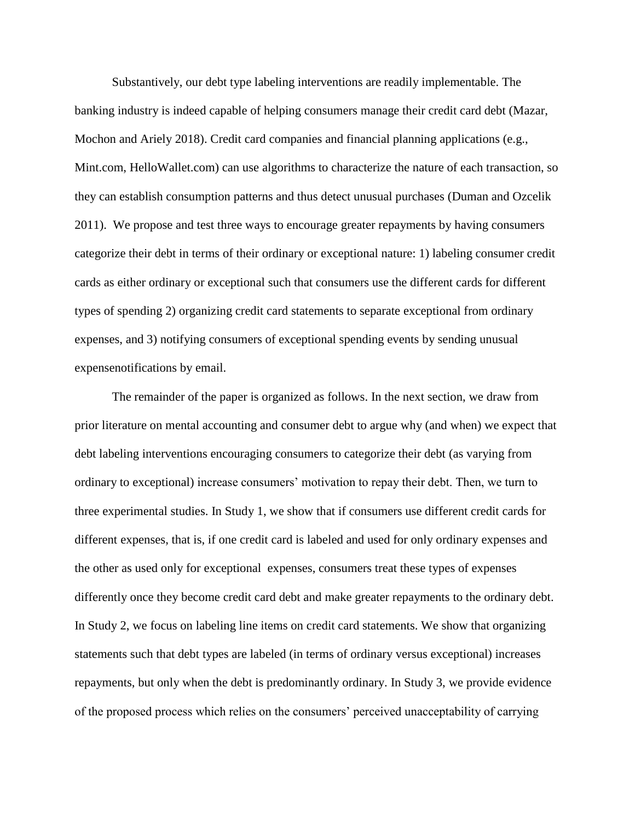Substantively, our debt type labeling interventions are readily implementable. The banking industry is indeed capable of helping consumers manage their credit card debt (Mazar, Mochon and Ariely 2018). Credit card companies and financial planning applications (e.g., Mint.com, HelloWallet.com) can use algorithms to characterize the nature of each transaction, so they can establish consumption patterns and thus detect unusual purchases (Duman and Ozcelik 2011). We propose and test three ways to encourage greater repayments by having consumers categorize their debt in terms of their ordinary or exceptional nature: 1) labeling consumer credit cards as either ordinary or exceptional such that consumers use the different cards for different types of spending 2) organizing credit card statements to separate exceptional from ordinary expenses, and 3) notifying consumers of exceptional spending events by sending unusual expensenotifications by email.

The remainder of the paper is organized as follows. In the next section, we draw from prior literature on mental accounting and consumer debt to argue why (and when) we expect that debt labeling interventions encouraging consumers to categorize their debt (as varying from ordinary to exceptional) increase consumers' motivation to repay their debt. Then, we turn to three experimental studies. In Study 1, we show that if consumers use different credit cards for different expenses, that is, if one credit card is labeled and used for only ordinary expenses and the other as used only for exceptional expenses, consumers treat these types of expenses differently once they become credit card debt and make greater repayments to the ordinary debt. In Study 2, we focus on labeling line items on credit card statements. We show that organizing statements such that debt types are labeled (in terms of ordinary versus exceptional) increases repayments, but only when the debt is predominantly ordinary. In Study 3, we provide evidence of the proposed process which relies on the consumers' perceived unacceptability of carrying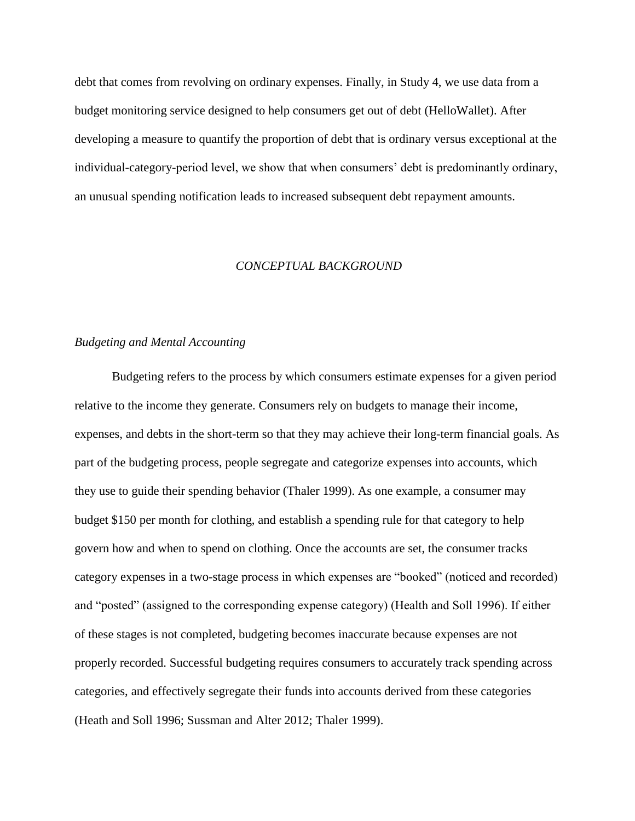debt that comes from revolving on ordinary expenses. Finally, in Study 4, we use data from a budget monitoring service designed to help consumers get out of debt (HelloWallet). After developing a measure to quantify the proportion of debt that is ordinary versus exceptional at the individual-category-period level, we show that when consumers' debt is predominantly ordinary, an unusual spending notification leads to increased subsequent debt repayment amounts.

#### *CONCEPTUAL BACKGROUND*

### *Budgeting and Mental Accounting*

Budgeting refers to the process by which consumers estimate expenses for a given period relative to the income they generate. Consumers rely on budgets to manage their income, expenses, and debts in the short-term so that they may achieve their long-term financial goals. As part of the budgeting process, people segregate and categorize expenses into accounts, which they use to guide their spending behavior (Thaler 1999). As one example, a consumer may budget \$150 per month for clothing, and establish a spending rule for that category to help govern how and when to spend on clothing. Once the accounts are set, the consumer tracks category expenses in a two-stage process in which expenses are "booked" (noticed and recorded) and "posted" (assigned to the corresponding expense category) (Health and Soll 1996). If either of these stages is not completed, budgeting becomes inaccurate because expenses are not properly recorded. Successful budgeting requires consumers to accurately track spending across categories, and effectively segregate their funds into accounts derived from these categories (Heath and Soll 1996; Sussman and Alter 2012; Thaler 1999).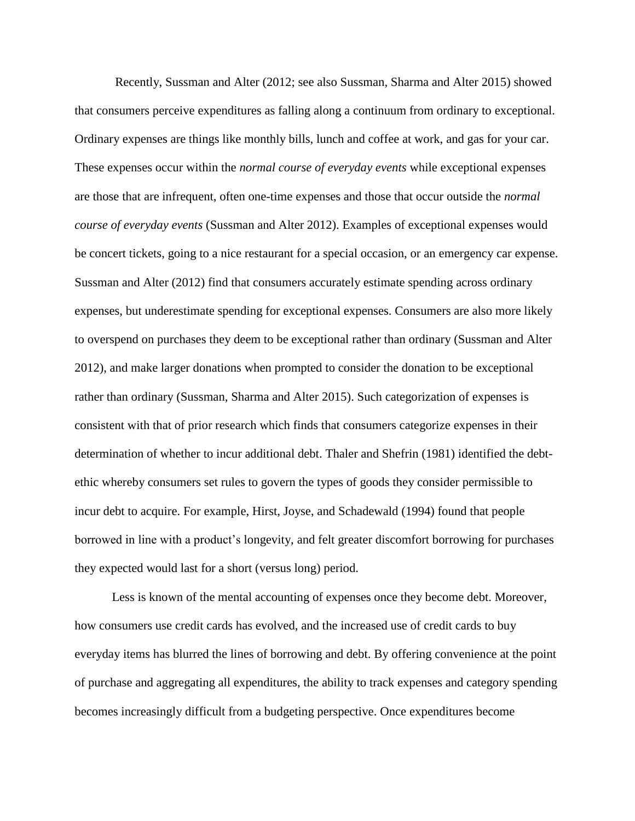Recently, Sussman and Alter (2012; see also Sussman, Sharma and Alter 2015) showed that consumers perceive expenditures as falling along a continuum from ordinary to exceptional. Ordinary expenses are things like monthly bills, lunch and coffee at work, and gas for your car. These expenses occur within the *normal course of everyday events* while exceptional expenses are those that are infrequent, often one-time expenses and those that occur outside the *normal course of everyday events* (Sussman and Alter 2012). Examples of exceptional expenses would be concert tickets, going to a nice restaurant for a special occasion, or an emergency car expense. Sussman and Alter (2012) find that consumers accurately estimate spending across ordinary expenses, but underestimate spending for exceptional expenses. Consumers are also more likely to overspend on purchases they deem to be exceptional rather than ordinary (Sussman and Alter 2012), and make larger donations when prompted to consider the donation to be exceptional rather than ordinary (Sussman, Sharma and Alter 2015). Such categorization of expenses is consistent with that of prior research which finds that consumers categorize expenses in their determination of whether to incur additional debt. Thaler and Shefrin (1981) identified the debtethic whereby consumers set rules to govern the types of goods they consider permissible to incur debt to acquire. For example, Hirst, Joyse, and Schadewald (1994) found that people borrowed in line with a product's longevity, and felt greater discomfort borrowing for purchases they expected would last for a short (versus long) period.

Less is known of the mental accounting of expenses once they become debt. Moreover, how consumers use credit cards has evolved, and the increased use of credit cards to buy everyday items has blurred the lines of borrowing and debt. By offering convenience at the point of purchase and aggregating all expenditures, the ability to track expenses and category spending becomes increasingly difficult from a budgeting perspective. Once expenditures become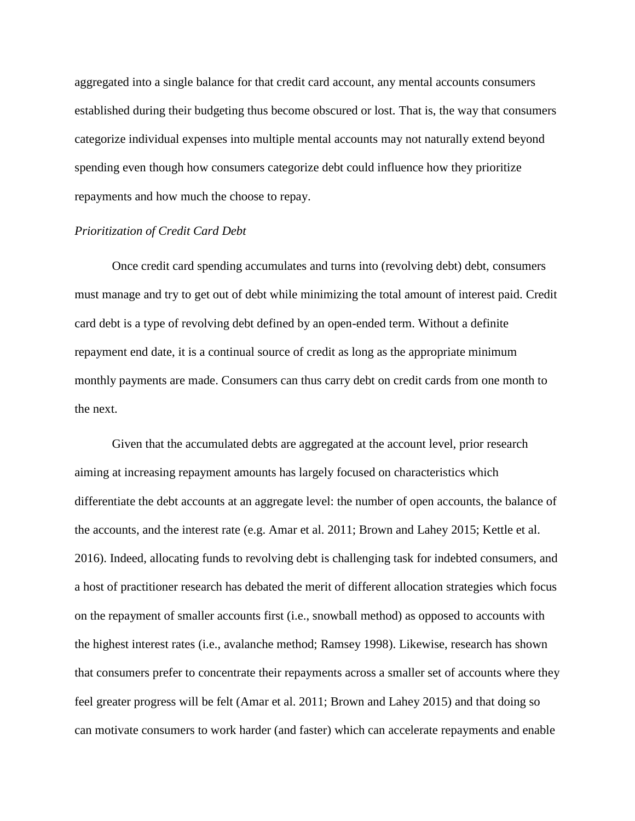aggregated into a single balance for that credit card account, any mental accounts consumers established during their budgeting thus become obscured or lost. That is, the way that consumers categorize individual expenses into multiple mental accounts may not naturally extend beyond spending even though how consumers categorize debt could influence how they prioritize repayments and how much the choose to repay.

#### *Prioritization of Credit Card Debt*

Once credit card spending accumulates and turns into (revolving debt) debt, consumers must manage and try to get out of debt while minimizing the total amount of interest paid. Credit card debt is a type of revolving debt defined by an open-ended term. Without a definite repayment end date, it is a continual source of credit as long as the appropriate minimum monthly payments are made. Consumers can thus carry debt on credit cards from one month to the next.

Given that the accumulated debts are aggregated at the account level, prior research aiming at increasing repayment amounts has largely focused on characteristics which differentiate the debt accounts at an aggregate level: the number of open accounts, the balance of the accounts, and the interest rate (e.g. Amar et al. 2011; Brown and Lahey 2015; Kettle et al. 2016). Indeed, allocating funds to revolving debt is challenging task for indebted consumers, and a host of practitioner research has debated the merit of different allocation strategies which focus on the repayment of smaller accounts first (i.e., snowball method) as opposed to accounts with the highest interest rates (i.e., avalanche method; Ramsey 1998). Likewise, research has shown that consumers prefer to concentrate their repayments across a smaller set of accounts where they feel greater progress will be felt (Amar et al. 2011; Brown and Lahey 2015) and that doing so can motivate consumers to work harder (and faster) which can accelerate repayments and enable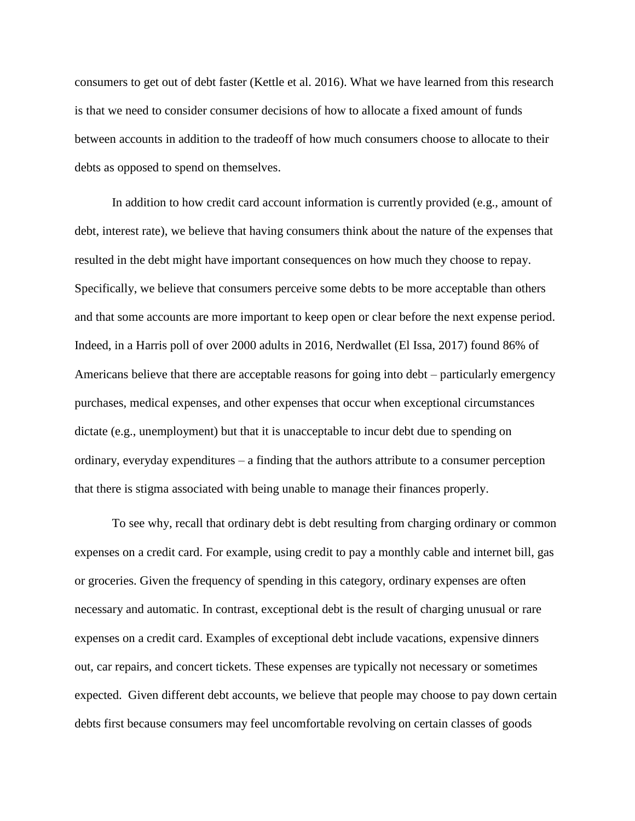consumers to get out of debt faster (Kettle et al. 2016). What we have learned from this research is that we need to consider consumer decisions of how to allocate a fixed amount of funds between accounts in addition to the tradeoff of how much consumers choose to allocate to their debts as opposed to spend on themselves.

In addition to how credit card account information is currently provided (e.g., amount of debt, interest rate), we believe that having consumers think about the nature of the expenses that resulted in the debt might have important consequences on how much they choose to repay. Specifically, we believe that consumers perceive some debts to be more acceptable than others and that some accounts are more important to keep open or clear before the next expense period. Indeed, in a Harris poll of over 2000 adults in 2016, Nerdwallet (El Issa, 2017) found 86% of Americans believe that there are acceptable reasons for going into debt – particularly emergency purchases, medical expenses, and other expenses that occur when exceptional circumstances dictate (e.g., unemployment) but that it is unacceptable to incur debt due to spending on ordinary, everyday expenditures – a finding that the authors attribute to a consumer perception that there is stigma associated with being unable to manage their finances properly.

To see why, recall that ordinary debt is debt resulting from charging ordinary or common expenses on a credit card. For example, using credit to pay a monthly cable and internet bill, gas or groceries. Given the frequency of spending in this category, ordinary expenses are often necessary and automatic. In contrast, exceptional debt is the result of charging unusual or rare expenses on a credit card. Examples of exceptional debt include vacations, expensive dinners out, car repairs, and concert tickets. These expenses are typically not necessary or sometimes expected. Given different debt accounts, we believe that people may choose to pay down certain debts first because consumers may feel uncomfortable revolving on certain classes of goods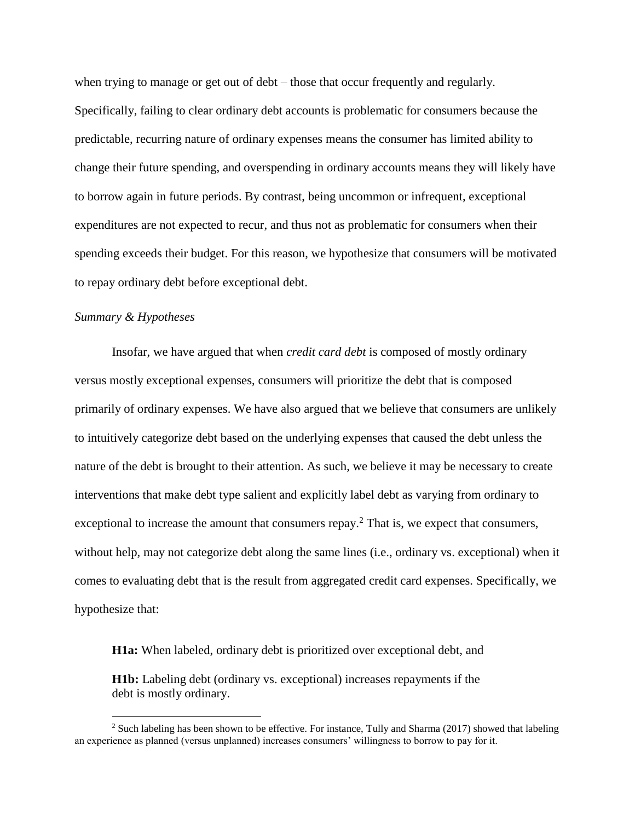when trying to manage or get out of debt – those that occur frequently and regularly. Specifically, failing to clear ordinary debt accounts is problematic for consumers because the predictable, recurring nature of ordinary expenses means the consumer has limited ability to change their future spending, and overspending in ordinary accounts means they will likely have to borrow again in future periods. By contrast, being uncommon or infrequent, exceptional expenditures are not expected to recur, and thus not as problematic for consumers when their spending exceeds their budget. For this reason, we hypothesize that consumers will be motivated to repay ordinary debt before exceptional debt.

#### *Summary & Hypotheses*

 $\overline{a}$ 

Insofar, we have argued that when *credit card debt* is composed of mostly ordinary versus mostly exceptional expenses, consumers will prioritize the debt that is composed primarily of ordinary expenses. We have also argued that we believe that consumers are unlikely to intuitively categorize debt based on the underlying expenses that caused the debt unless the nature of the debt is brought to their attention. As such, we believe it may be necessary to create interventions that make debt type salient and explicitly label debt as varying from ordinary to exceptional to increase the amount that consumers repay.<sup>2</sup> That is, we expect that consumers, without help, may not categorize debt along the same lines (i.e., ordinary vs. exceptional) when it comes to evaluating debt that is the result from aggregated credit card expenses. Specifically, we hypothesize that:

**H1a:** When labeled, ordinary debt is prioritized over exceptional debt, and

**H1b:** Labeling debt (ordinary vs. exceptional) increases repayments if the debt is mostly ordinary.

<sup>&</sup>lt;sup>2</sup> Such labeling has been shown to be effective. For instance, Tully and Sharma (2017) showed that labeling an experience as planned (versus unplanned) increases consumers' willingness to borrow to pay for it.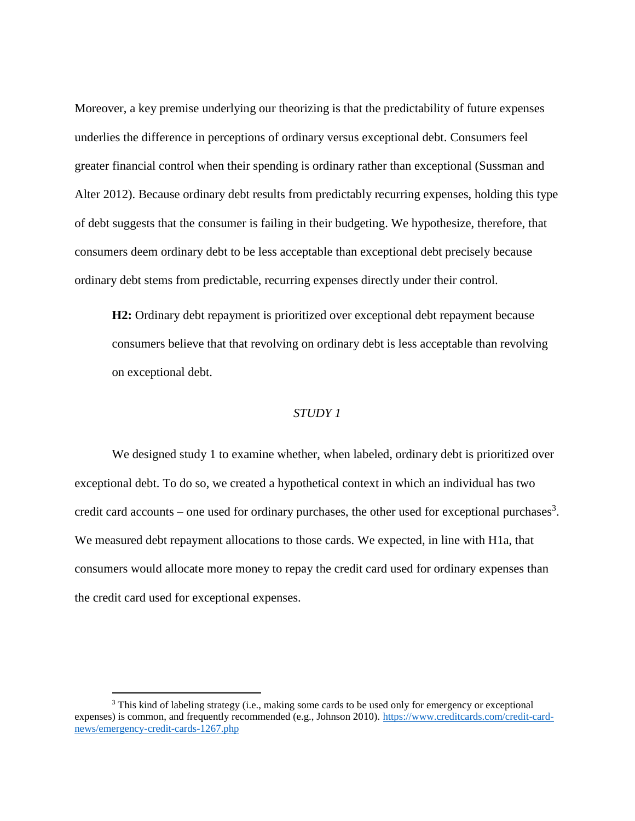Moreover, a key premise underlying our theorizing is that the predictability of future expenses underlies the difference in perceptions of ordinary versus exceptional debt. Consumers feel greater financial control when their spending is ordinary rather than exceptional (Sussman and Alter 2012). Because ordinary debt results from predictably recurring expenses, holding this type of debt suggests that the consumer is failing in their budgeting. We hypothesize, therefore, that consumers deem ordinary debt to be less acceptable than exceptional debt precisely because ordinary debt stems from predictable, recurring expenses directly under their control.

**H2:** Ordinary debt repayment is prioritized over exceptional debt repayment because consumers believe that that revolving on ordinary debt is less acceptable than revolving on exceptional debt.

### *STUDY 1*

We designed study 1 to examine whether, when labeled, ordinary debt is prioritized over exceptional debt. To do so, we created a hypothetical context in which an individual has two credit card accounts – one used for ordinary purchases, the other used for exceptional purchases<sup>3</sup>. We measured debt repayment allocations to those cards. We expected, in line with H1a, that consumers would allocate more money to repay the credit card used for ordinary expenses than the credit card used for exceptional expenses.

 $\overline{a}$ 

<sup>&</sup>lt;sup>3</sup> This kind of labeling strategy (i.e., making some cards to be used only for emergency or exceptional expenses) is common, and frequently recommended (e.g., Johnson 2010). [https://www.creditcards.com/credit-card](https://www.creditcards.com/credit-card-news/emergency-credit-cards-1267.php)[news/emergency-credit-cards-1267.php](https://www.creditcards.com/credit-card-news/emergency-credit-cards-1267.php)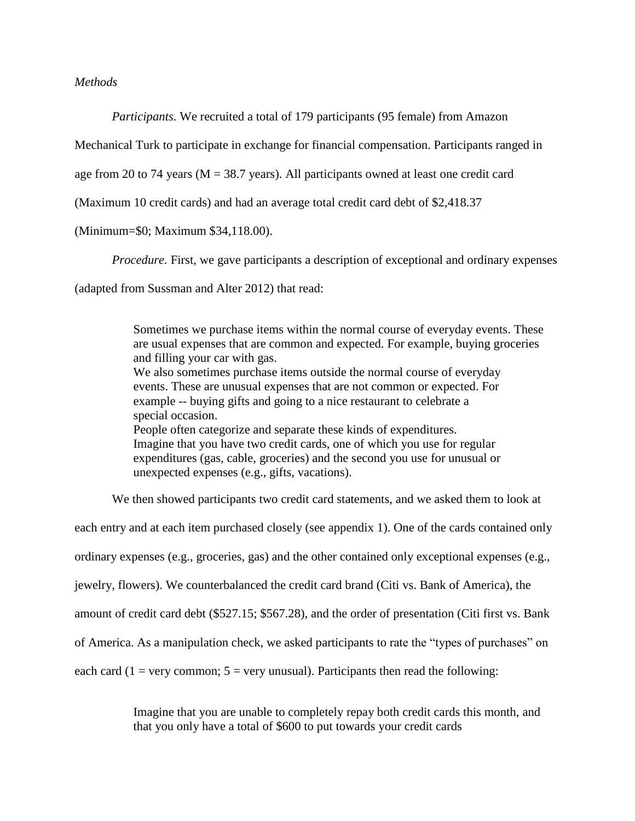### *Methods*

*Participants.* We recruited a total of 179 participants (95 female) from Amazon

Mechanical Turk to participate in exchange for financial compensation. Participants ranged in

age from 20 to 74 years ( $M = 38.7$  years). All participants owned at least one credit card

(Maximum 10 credit cards) and had an average total credit card debt of \$2,418.37

### (Minimum=\$0; Maximum \$34,118.00).

*Procedure.* First, we gave participants a description of exceptional and ordinary expenses

(adapted from Sussman and Alter 2012) that read:

Sometimes we purchase items within the normal course of everyday events. These are usual expenses that are common and expected. For example, buying groceries and filling your car with gas. We also sometimes purchase items outside the normal course of everyday events. These are unusual expenses that are not common or expected. For example -- buying gifts and going to a nice restaurant to celebrate a special occasion. People often categorize and separate these kinds of expenditures. Imagine that you have two credit cards, one of which you use for regular expenditures (gas, cable, groceries) and the second you use for unusual or unexpected expenses (e.g., gifts, vacations).

We then showed participants two credit card statements, and we asked them to look at

each entry and at each item purchased closely (see appendix 1). One of the cards contained only

ordinary expenses (e.g., groceries, gas) and the other contained only exceptional expenses (e.g.,

jewelry, flowers). We counterbalanced the credit card brand (Citi vs. Bank of America), the

amount of credit card debt (\$527.15; \$567.28), and the order of presentation (Citi first vs. Bank

of America. As a manipulation check, we asked participants to rate the "types of purchases" on

each card (1 = very common;  $5$  = very unusual). Participants then read the following:

Imagine that you are unable to completely repay both credit cards this month, and that you only have a total of \$600 to put towards your credit cards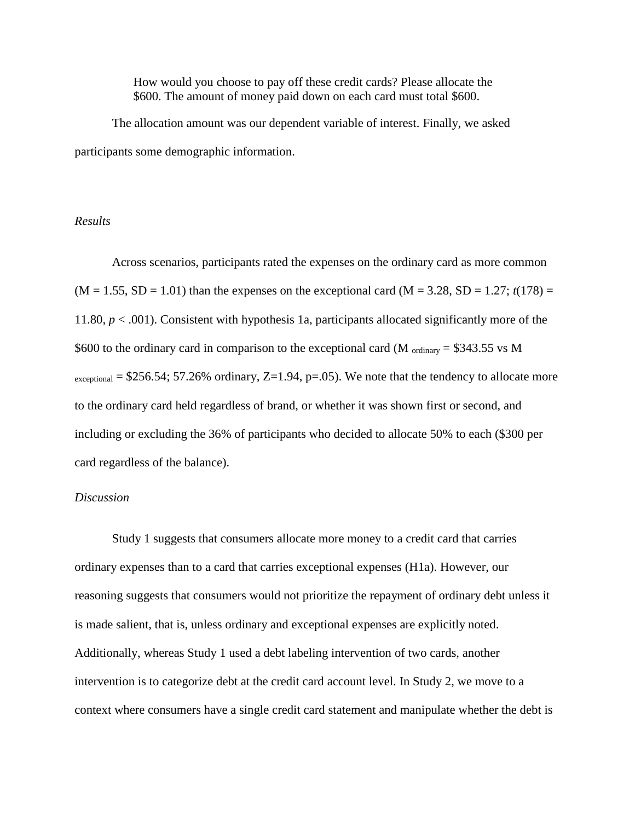How would you choose to pay off these credit cards? Please allocate the \$600. The amount of money paid down on each card must total \$600.

The allocation amount was our dependent variable of interest. Finally, we asked participants some demographic information.

#### *Results*

Across scenarios, participants rated the expenses on the ordinary card as more common  $(M = 1.55, SD = 1.01)$  than the expenses on the exceptional card  $(M = 3.28, SD = 1.27; t(178) =$ 11.80, *p* < .001). Consistent with hypothesis 1a, participants allocated significantly more of the \$600 to the ordinary card in comparison to the exceptional card (M  $_{\text{ordinary}}$  = \$343.55 vs M  $\alpha$ <sub>exceptional</sub> = \$256.54; 57.26% ordinary, Z=1.94, p=.05). We note that the tendency to allocate more to the ordinary card held regardless of brand, or whether it was shown first or second, and including or excluding the 36% of participants who decided to allocate 50% to each (\$300 per card regardless of the balance).

### *Discussion*

Study 1 suggests that consumers allocate more money to a credit card that carries ordinary expenses than to a card that carries exceptional expenses (H1a). However, our reasoning suggests that consumers would not prioritize the repayment of ordinary debt unless it is made salient, that is, unless ordinary and exceptional expenses are explicitly noted. Additionally, whereas Study 1 used a debt labeling intervention of two cards, another intervention is to categorize debt at the credit card account level. In Study 2, we move to a context where consumers have a single credit card statement and manipulate whether the debt is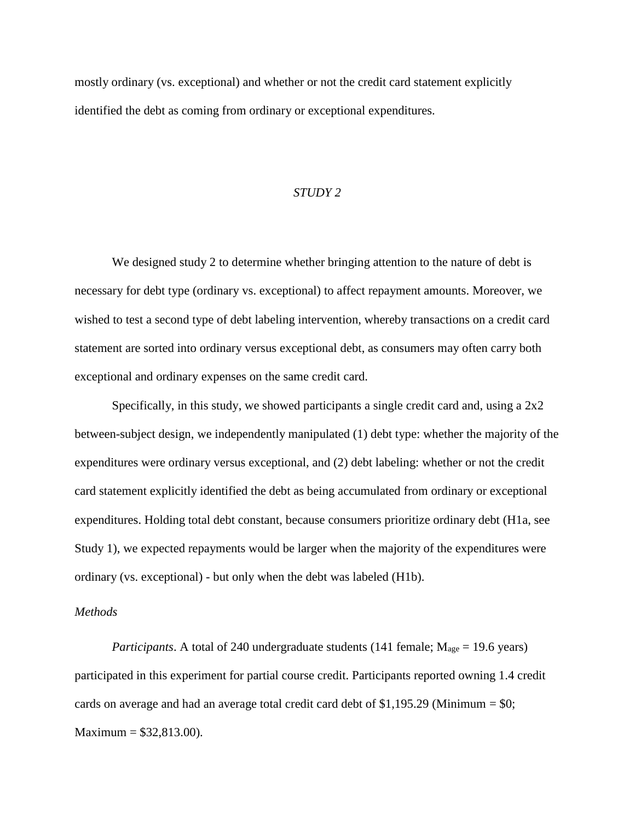mostly ordinary (vs. exceptional) and whether or not the credit card statement explicitly identified the debt as coming from ordinary or exceptional expenditures.

#### *STUDY 2*

We designed study 2 to determine whether bringing attention to the nature of debt is necessary for debt type (ordinary vs. exceptional) to affect repayment amounts. Moreover, we wished to test a second type of debt labeling intervention, whereby transactions on a credit card statement are sorted into ordinary versus exceptional debt, as consumers may often carry both exceptional and ordinary expenses on the same credit card.

Specifically, in this study, we showed participants a single credit card and, using a 2x2 between-subject design, we independently manipulated (1) debt type: whether the majority of the expenditures were ordinary versus exceptional, and (2) debt labeling: whether or not the credit card statement explicitly identified the debt as being accumulated from ordinary or exceptional expenditures. Holding total debt constant, because consumers prioritize ordinary debt (H1a, see Study 1), we expected repayments would be larger when the majority of the expenditures were ordinary (vs. exceptional) - but only when the debt was labeled (H1b).

#### *Methods*

*Participants*. A total of 240 undergraduate students (141 female;  $M_{\text{age}} = 19.6$  years) participated in this experiment for partial course credit. Participants reported owning 1.4 credit cards on average and had an average total credit card debt of \$1,195.29 (Minimum =  $$0;$ Maximum =  $$32,813.00$ ).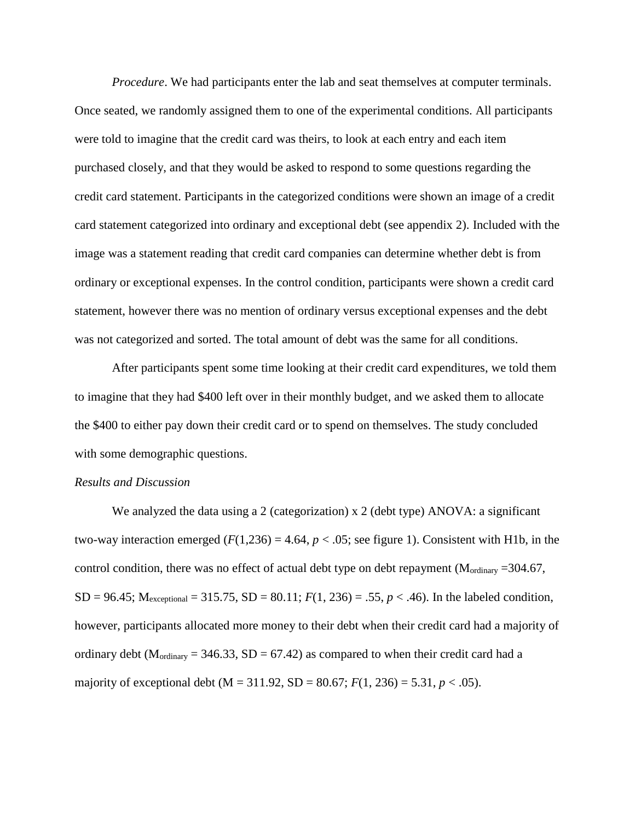*Procedure*. We had participants enter the lab and seat themselves at computer terminals. Once seated, we randomly assigned them to one of the experimental conditions. All participants were told to imagine that the credit card was theirs, to look at each entry and each item purchased closely, and that they would be asked to respond to some questions regarding the credit card statement. Participants in the categorized conditions were shown an image of a credit card statement categorized into ordinary and exceptional debt (see appendix 2). Included with the image was a statement reading that credit card companies can determine whether debt is from ordinary or exceptional expenses. In the control condition, participants were shown a credit card statement, however there was no mention of ordinary versus exceptional expenses and the debt was not categorized and sorted. The total amount of debt was the same for all conditions.

After participants spent some time looking at their credit card expenditures, we told them to imagine that they had \$400 left over in their monthly budget, and we asked them to allocate the \$400 to either pay down their credit card or to spend on themselves. The study concluded with some demographic questions.

### *Results and Discussion*

We analyzed the data using a 2 (categorization) x 2 (debt type) ANOVA: a significant two-way interaction emerged  $(F(1,236) = 4.64, p < .05)$ ; see figure 1). Consistent with H1b, in the control condition, there was no effect of actual debt type on debt repayment (M<sub>ordinary</sub> = 304.67,  $SD = 96.45$ ;  $M_{exceptional} = 315.75$ ,  $SD = 80.11$ ;  $F(1, 236) = .55$ ,  $p < .46$ ). In the labeled condition, however, participants allocated more money to their debt when their credit card had a majority of ordinary debt ( $M_{\text{ordinary}} = 346.33$ ,  $SD = 67.42$ ) as compared to when their credit card had a majority of exceptional debt (M = 311.92, SD = 80.67;  $F(1, 236) = 5.31$ ,  $p < .05$ ).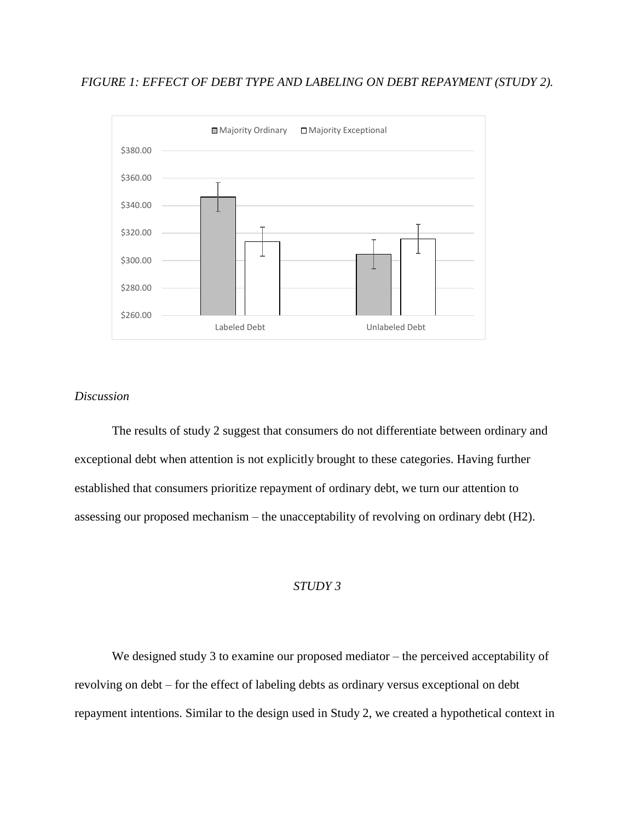### *FIGURE 1: EFFECT OF DEBT TYPE AND LABELING ON DEBT REPAYMENT (STUDY 2).*



## *Discussion*

The results of study 2 suggest that consumers do not differentiate between ordinary and exceptional debt when attention is not explicitly brought to these categories. Having further established that consumers prioritize repayment of ordinary debt, we turn our attention to assessing our proposed mechanism – the unacceptability of revolving on ordinary debt (H2).

### *STUDY 3*

We designed study 3 to examine our proposed mediator – the perceived acceptability of revolving on debt – for the effect of labeling debts as ordinary versus exceptional on debt repayment intentions. Similar to the design used in Study 2, we created a hypothetical context in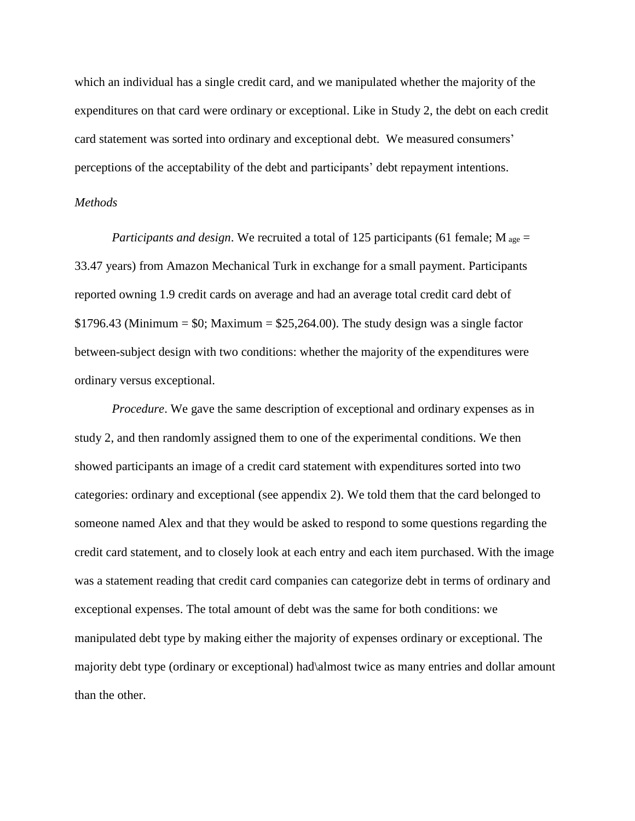which an individual has a single credit card, and we manipulated whether the majority of the expenditures on that card were ordinary or exceptional. Like in Study 2, the debt on each credit card statement was sorted into ordinary and exceptional debt. We measured consumers' perceptions of the acceptability of the debt and participants' debt repayment intentions.

#### *Methods*

*Participants and design*. We recruited a total of 125 participants (61 female; M <sub>age</sub> = 33.47 years) from Amazon Mechanical Turk in exchange for a small payment. Participants reported owning 1.9 credit cards on average and had an average total credit card debt of  $$1796.43$  (Minimum =  $$0$ ; Maximum =  $$25,264.00$ ). The study design was a single factor between-subject design with two conditions: whether the majority of the expenditures were ordinary versus exceptional.

*Procedure*. We gave the same description of exceptional and ordinary expenses as in study 2, and then randomly assigned them to one of the experimental conditions. We then showed participants an image of a credit card statement with expenditures sorted into two categories: ordinary and exceptional (see appendix 2). We told them that the card belonged to someone named Alex and that they would be asked to respond to some questions regarding the credit card statement, and to closely look at each entry and each item purchased. With the image was a statement reading that credit card companies can categorize debt in terms of ordinary and exceptional expenses. The total amount of debt was the same for both conditions: we manipulated debt type by making either the majority of expenses ordinary or exceptional. The majority debt type (ordinary or exceptional) had\almost twice as many entries and dollar amount than the other.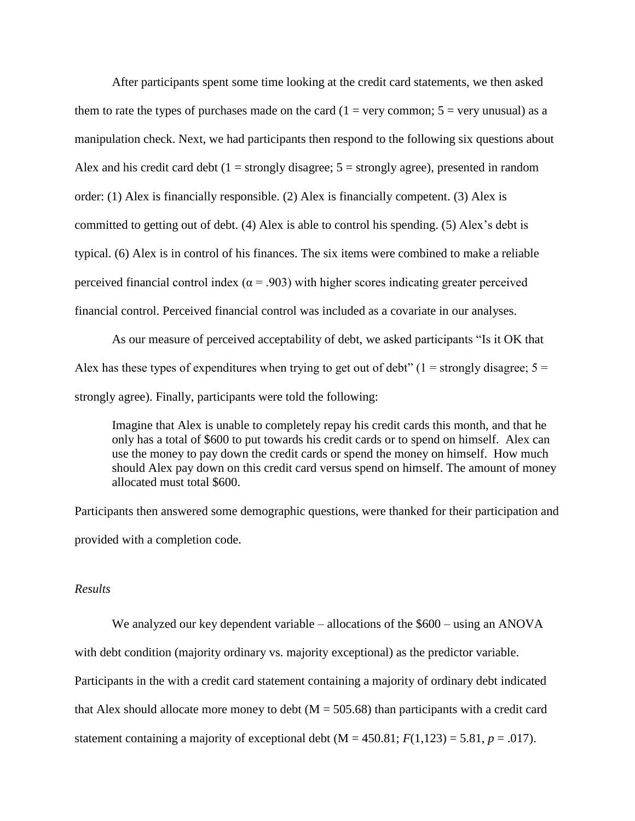After participants spent some time looking at the credit card statements, we then asked them to rate the types of purchases made on the card  $(1 = \text{very common}; 5 = \text{very unusual})$  as a manipulation check. Next, we had participants then respond to the following six questions about Alex and his credit card debt ( $1 =$  strongly disagree;  $5 =$  strongly agree), presented in random order: (1) Alex is financially responsible. (2) Alex is financially competent. (3) Alex is committed to getting out of debt. (4) Alex is able to control his spending. (5) Alex's debt is typical. (6) Alex is in control of his finances. The six items were combined to make a reliable perceived financial control index ( $\alpha$  = .903) with higher scores indicating greater perceived financial control. Perceived financial control was included as a covariate in our analyses.

As our measure of perceived acceptability of debt, we asked participants "Is it OK that Alex has these types of expenditures when trying to get out of debt"  $(1 =$  strongly disagree;  $5 =$ strongly agree). Finally, participants were told the following:

Imagine that Alex is unable to completely repay his credit cards this month, and that he only has a total of \$600 to put towards his credit cards or to spend on himself. Alex can use the money to pay down the credit cards or spend the money on himself. How much should Alex pay down on this credit card versus spend on himself. The amount of money allocated must total \$600.

Participants then answered some demographic questions, were thanked for their participation and provided with a completion code.

#### *Results*

We analyzed our key dependent variable – allocations of the \$600 – using an ANOVA with debt condition (majority ordinary vs. majority exceptional) as the predictor variable. Participants in the with a credit card statement containing a majority of ordinary debt indicated that Alex should allocate more money to debt ( $M = 505.68$ ) than participants with a credit card statement containing a majority of exceptional debt ( $M = 450.81$ ;  $F(1,123) = 5.81$ ,  $p = .017$ ).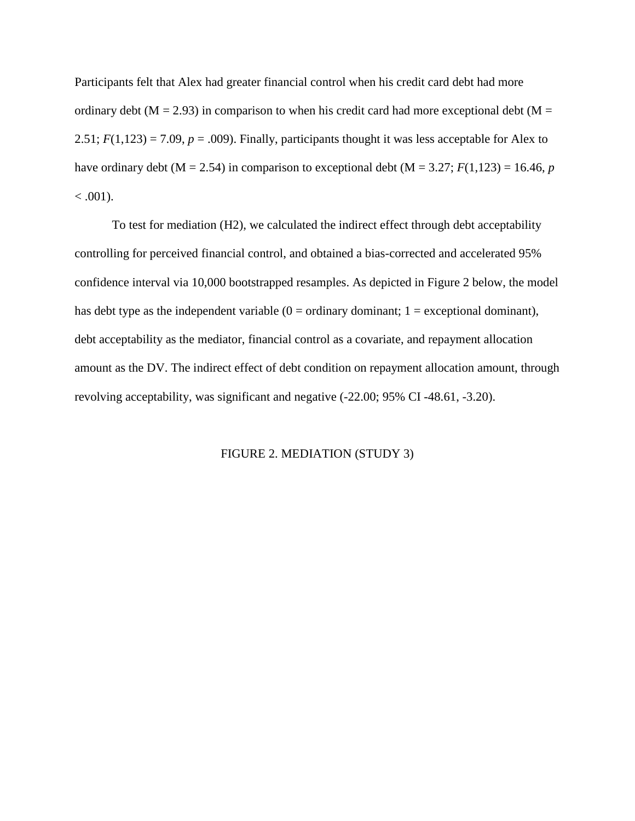Participants felt that Alex had greater financial control when his credit card debt had more ordinary debt ( $M = 2.93$ ) in comparison to when his credit card had more exceptional debt ( $M =$ 2.51;  $F(1,123) = 7.09$ ,  $p = .009$ ). Finally, participants thought it was less acceptable for Alex to have ordinary debt ( $M = 2.54$ ) in comparison to exceptional debt ( $M = 3.27$ ;  $F(1,123) = 16.46$ , *p*  $< .001$ ).

To test for mediation (H2), we calculated the indirect effect through debt acceptability controlling for perceived financial control, and obtained a bias-corrected and accelerated 95% confidence interval via 10,000 bootstrapped resamples. As depicted in Figure 2 below, the model has debt type as the independent variable  $(0 = \text{ordinary dominant}; 1 = \text{exceptional dominant})$ , debt acceptability as the mediator, financial control as a covariate, and repayment allocation amount as the DV. The indirect effect of debt condition on repayment allocation amount, through revolving acceptability, was significant and negative (-22.00; 95% CI -48.61, -3.20).

#### FIGURE 2. MEDIATION (STUDY 3)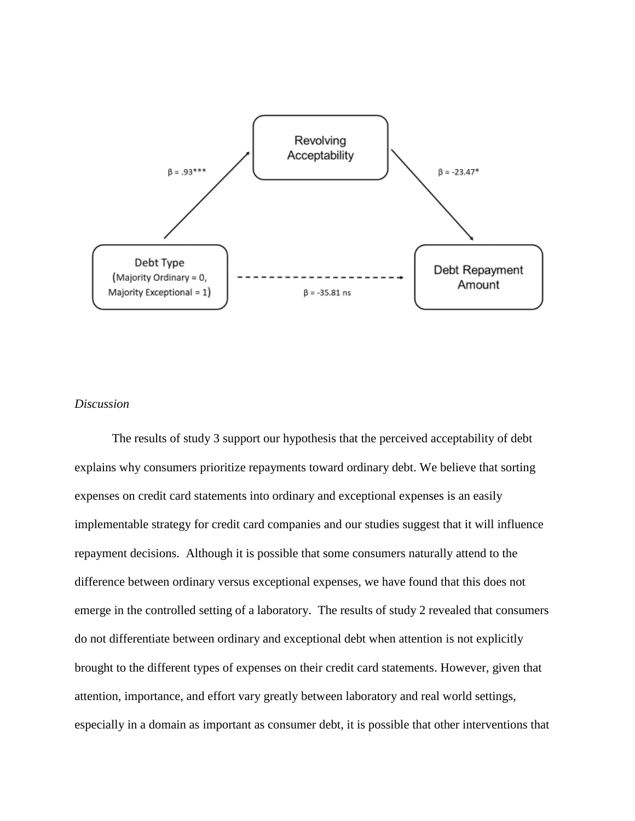

### *Discussion*

The results of study 3 support our hypothesis that the perceived acceptability of debt explains why consumers prioritize repayments toward ordinary debt. We believe that sorting expenses on credit card statements into ordinary and exceptional expenses is an easily implementable strategy for credit card companies and our studies suggest that it will influence repayment decisions. Although it is possible that some consumers naturally attend to the difference between ordinary versus exceptional expenses, we have found that this does not emerge in the controlled setting of a laboratory. The results of study 2 revealed that consumers do not differentiate between ordinary and exceptional debt when attention is not explicitly brought to the different types of expenses on their credit card statements. However, given that attention, importance, and effort vary greatly between laboratory and real world settings, especially in a domain as important as consumer debt, it is possible that other interventions that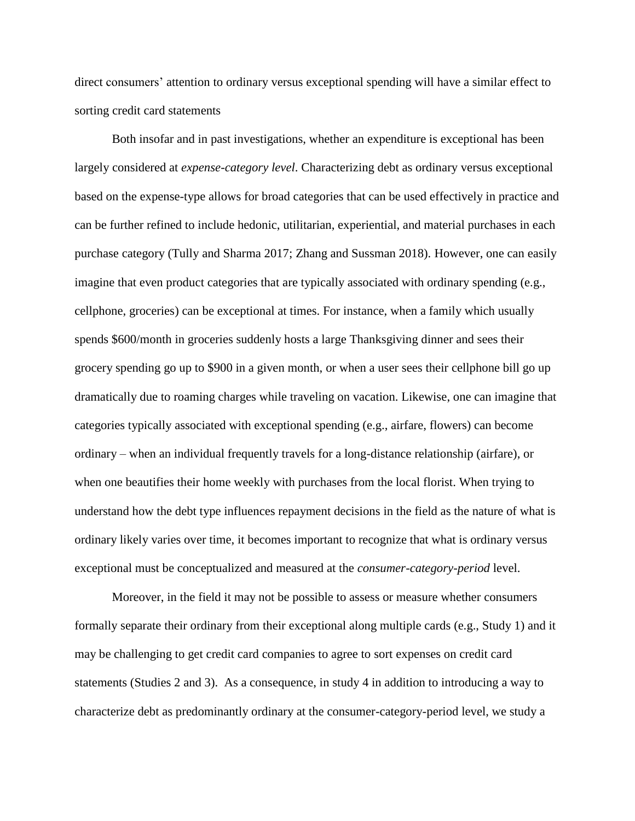direct consumers' attention to ordinary versus exceptional spending will have a similar effect to sorting credit card statements

Both insofar and in past investigations, whether an expenditure is exceptional has been largely considered at *expense-category level*. Characterizing debt as ordinary versus exceptional based on the expense-type allows for broad categories that can be used effectively in practice and can be further refined to include hedonic, utilitarian, experiential, and material purchases in each purchase category (Tully and Sharma 2017; Zhang and Sussman 2018). However, one can easily imagine that even product categories that are typically associated with ordinary spending (e.g., cellphone, groceries) can be exceptional at times. For instance, when a family which usually spends \$600/month in groceries suddenly hosts a large Thanksgiving dinner and sees their grocery spending go up to \$900 in a given month, or when a user sees their cellphone bill go up dramatically due to roaming charges while traveling on vacation. Likewise, one can imagine that categories typically associated with exceptional spending (e.g., airfare, flowers) can become ordinary – when an individual frequently travels for a long-distance relationship (airfare), or when one beautifies their home weekly with purchases from the local florist. When trying to understand how the debt type influences repayment decisions in the field as the nature of what is ordinary likely varies over time, it becomes important to recognize that what is ordinary versus exceptional must be conceptualized and measured at the *consumer-category-period* level.

Moreover, in the field it may not be possible to assess or measure whether consumers formally separate their ordinary from their exceptional along multiple cards (e.g., Study 1) and it may be challenging to get credit card companies to agree to sort expenses on credit card statements (Studies 2 and 3). As a consequence, in study 4 in addition to introducing a way to characterize debt as predominantly ordinary at the consumer-category-period level, we study a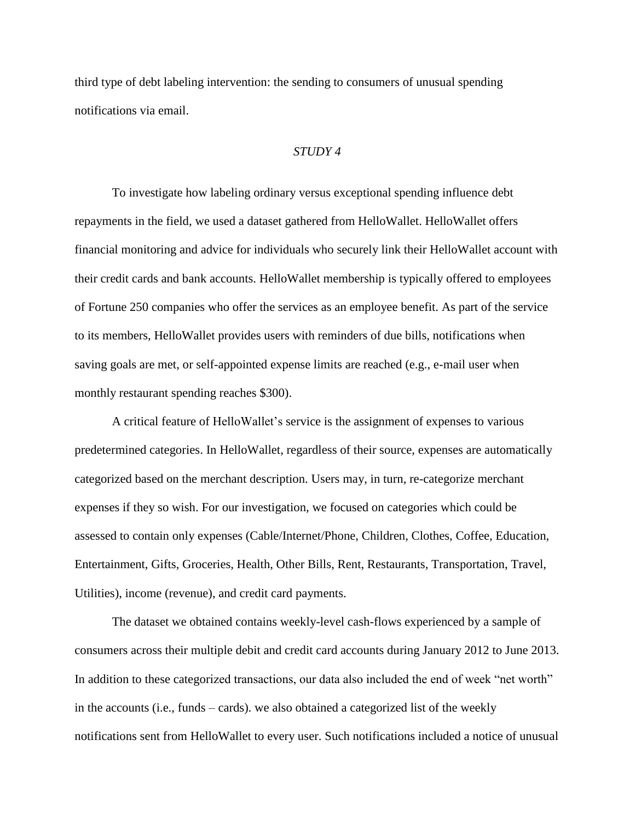third type of debt labeling intervention: the sending to consumers of unusual spending notifications via email.

#### *STUDY 4*

To investigate how labeling ordinary versus exceptional spending influence debt repayments in the field, we used a dataset gathered from HelloWallet. HelloWallet offers financial monitoring and advice for individuals who securely link their HelloWallet account with their credit cards and bank accounts. HelloWallet membership is typically offered to employees of Fortune 250 companies who offer the services as an employee benefit. As part of the service to its members, HelloWallet provides users with reminders of due bills, notifications when saving goals are met, or self-appointed expense limits are reached (e.g., e-mail user when monthly restaurant spending reaches \$300).

A critical feature of HelloWallet's service is the assignment of expenses to various predetermined categories. In HelloWallet, regardless of their source, expenses are automatically categorized based on the merchant description. Users may, in turn, re-categorize merchant expenses if they so wish. For our investigation, we focused on categories which could be assessed to contain only expenses (Cable/Internet/Phone, Children, Clothes, Coffee, Education, Entertainment, Gifts, Groceries, Health, Other Bills, Rent, Restaurants, Transportation, Travel, Utilities), income (revenue), and credit card payments.

The dataset we obtained contains weekly-level cash-flows experienced by a sample of consumers across their multiple debit and credit card accounts during January 2012 to June 2013. In addition to these categorized transactions, our data also included the end of week "net worth" in the accounts (i.e., funds – cards). we also obtained a categorized list of the weekly notifications sent from HelloWallet to every user. Such notifications included a notice of unusual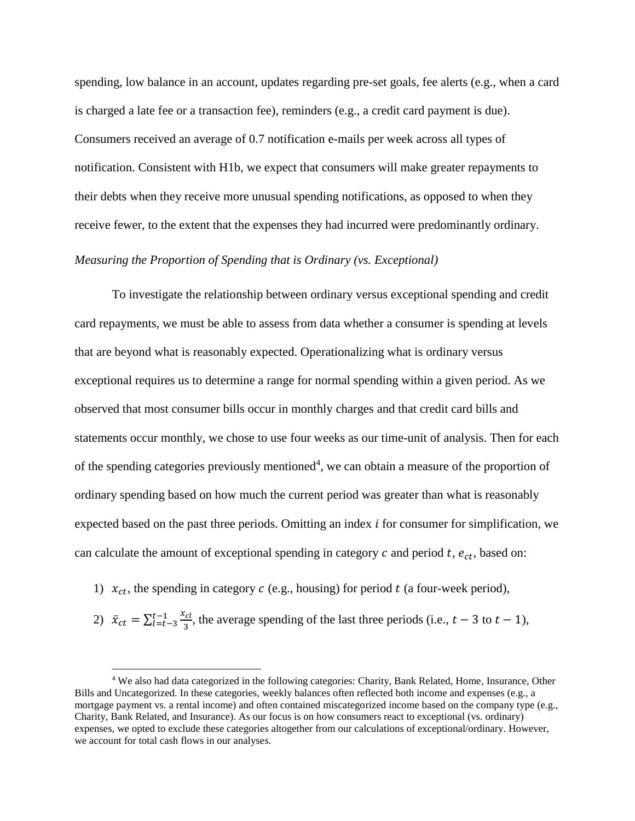spending, low balance in an account, updates regarding pre-set goals, fee alerts (e.g., when a card is charged a late fee or a transaction fee), reminders (e.g., a credit card payment is due). Consumers received an average of 0.7 notification e-mails per week across all types of notification. Consistent with H1b, we expect that consumers will make greater repayments to their debts when they receive more unusual spending notifications, as opposed to when they receive fewer, to the extent that the expenses they had incurred were predominantly ordinary.

## *Measuring the Proportion of Spending that is Ordinary (vs. Exceptional)*

To investigate the relationship between ordinary versus exceptional spending and credit card repayments, we must be able to assess from data whether a consumer is spending at levels that are beyond what is reasonably expected. Operationalizing what is ordinary versus exceptional requires us to determine a range for normal spending within a given period. As we observed that most consumer bills occur in monthly charges and that credit card bills and statements occur monthly, we chose to use four weeks as our time-unit of analysis. Then for each of the spending categories previously mentioned<sup>4</sup>, we can obtain a measure of the proportion of ordinary spending based on how much the current period was greater than what is reasonably expected based on the past three periods. Omitting an index  $i$  for consumer for simplification, we can calculate the amount of exceptional spending in category  $c$  and period  $t$ ,  $e_{ct}$ , based on:

1)  $x_{ct}$ , the spending in category c (e.g., housing) for period t (a four-week period),

 $\overline{a}$ 

2)  $\bar{x}_{ct} = \sum_{l=t-3}^{t-1} \frac{x_{cl}}{3}$ 3  $\frac{t-1}{t=t-3} \frac{x_{cl}}{x_{3}}$ , the average spending of the last three periods (i.e.,  $t-3$  to  $t-1$ ),

<sup>4</sup> We also had data categorized in the following categories: Charity, Bank Related, Home, Insurance, Other Bills and Uncategorized. In these categories, weekly balances often reflected both income and expenses (e.g., a mortgage payment vs. a rental income) and often contained miscategorized income based on the company type (e.g., Charity, Bank Related, and Insurance). As our focus is on how consumers react to exceptional (vs. ordinary) expenses, we opted to exclude these categories altogether from our calculations of exceptional/ordinary. However, we account for total cash flows in our analyses.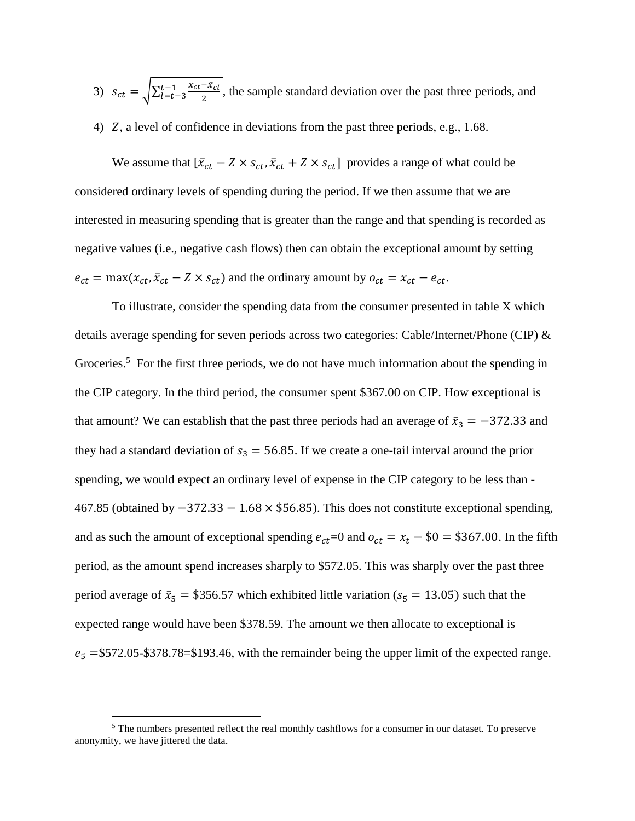- 3)  $s_{ct} = \sqrt{\sum_{l=t-3}^{t-1} \frac{x_{ct} \bar{x}_{cl}}{2}}$ 2  $\frac{t-1}{t=t-3} \frac{x_{ct}-x_{ct}}{2}$ , the sample standard deviation over the past three periods, and
- 4)  $Z$ , a level of confidence in deviations from the past three periods, e.g., 1.68.

We assume that  $[\bar{x}_{ct} - Z \times s_{ct}, \bar{x}_{ct} + Z \times s_{ct}]$  provides a range of what could be considered ordinary levels of spending during the period. If we then assume that we are interested in measuring spending that is greater than the range and that spending is recorded as negative values (i.e., negative cash flows) then can obtain the exceptional amount by setting  $e_{ct} = \max(x_{ct}, \bar{x}_{ct} - Z \times s_{ct})$  and the ordinary amount by  $o_{ct} = x_{ct} - e_{ct}$ .

To illustrate, consider the spending data from the consumer presented in table X which details average spending for seven periods across two categories: Cable/Internet/Phone (CIP) & Groceries.<sup>5</sup> For the first three periods, we do not have much information about the spending in the CIP category. In the third period, the consumer spent \$367.00 on CIP. How exceptional is that amount? We can establish that the past three periods had an average of  $\bar{x}_3 = -372.33$  and they had a standard deviation of  $s_3 = 56.85$ . If we create a one-tail interval around the prior spending, we would expect an ordinary level of expense in the CIP category to be less than - 467.85 (obtained by −372.33 − 1.68 × \$56.85). This does not constitute exceptional spending, and as such the amount of exceptional spending  $e_{ct}$  = 0 and  $o_{ct} = x_t - $0 = $367.00$ . In the fifth period, as the amount spend increases sharply to \$572.05. This was sharply over the past three period average of  $\bar{x}_5 = $356.57$  which exhibited little variation ( $s_5 = 13.05$ ) such that the expected range would have been \$378.59. The amount we then allocate to exceptional is  $e_5$  =\$572.05-\$378.78=\$193.46, with the remainder being the upper limit of the expected range.

 $\overline{a}$ 

 $5$  The numbers presented reflect the real monthly cashflows for a consumer in our dataset. To preserve anonymity, we have jittered the data.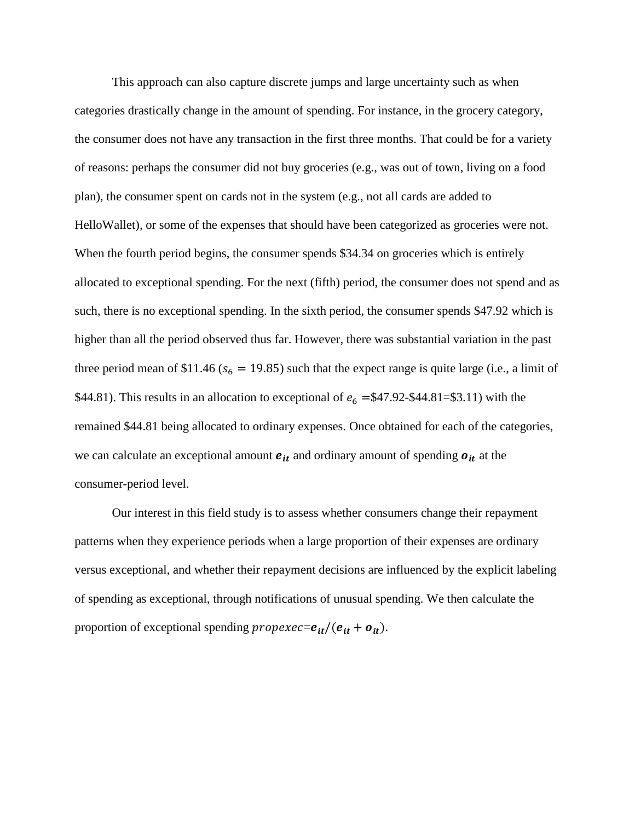This approach can also capture discrete jumps and large uncertainty such as when categories drastically change in the amount of spending. For instance, in the grocery category, the consumer does not have any transaction in the first three months. That could be for a variety of reasons: perhaps the consumer did not buy groceries (e.g., was out of town, living on a food plan), the consumer spent on cards not in the system (e.g., not all cards are added to HelloWallet), or some of the expenses that should have been categorized as groceries were not. When the fourth period begins, the consumer spends \$34.34 on groceries which is entirely allocated to exceptional spending. For the next (fifth) period, the consumer does not spend and as such, there is no exceptional spending. In the sixth period, the consumer spends \$47.92 which is higher than all the period observed thus far. However, there was substantial variation in the past three period mean of \$11.46 ( $s_6 = 19.85$ ) such that the expect range is quite large (i.e., a limit of \$44.81). This results in an allocation to exceptional of  $e_6 = $47.92 - $44.81 = $3.11$  with the remained \$44.81 being allocated to ordinary expenses. Once obtained for each of the categories, we can calculate an exceptional amount  $e_{it}$  and ordinary amount of spending  $o_{it}$  at the consumer-period level.

Our interest in this field study is to assess whether consumers change their repayment patterns when they experience periods when a large proportion of their expenses are ordinary versus exceptional, and whether their repayment decisions are influenced by the explicit labeling of spending as exceptional, through notifications of unusual spending. We then calculate the proportion of exceptional spending  $propexec = e_{it}/(e_{it} + o_{it}).$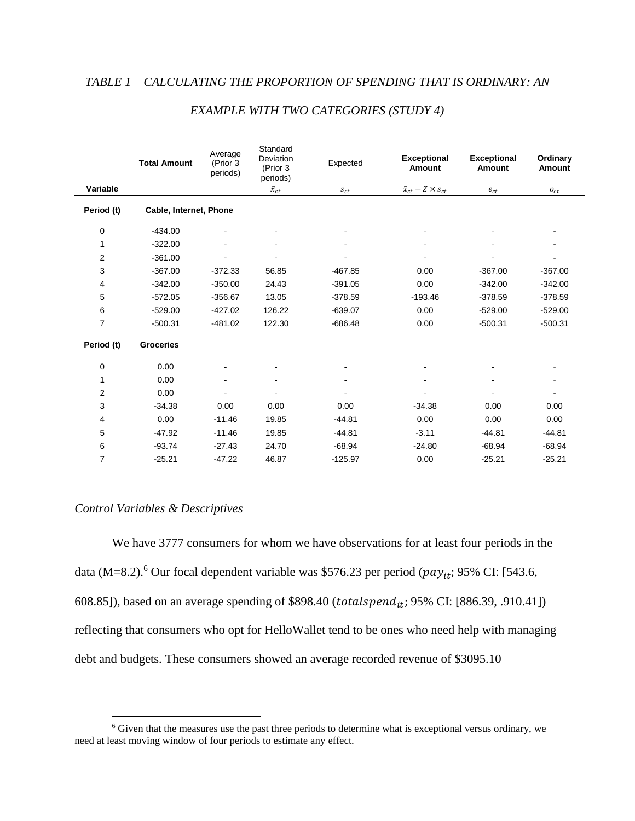|                  | <b>Total Amount</b>    | Average<br>(Prior 3<br>periods) | Standard<br>Deviation<br>(Prior 3<br>periods) | Expected              | <b>Exceptional</b><br>Amount     | <b>Exceptional</b><br><b>Amount</b> | Ordinary<br><b>Amount</b> |
|------------------|------------------------|---------------------------------|-----------------------------------------------|-----------------------|----------------------------------|-------------------------------------|---------------------------|
| Variable         |                        |                                 | $\bar{x}_{ct}$                                | $\boldsymbol{s}_{ct}$ | $\bar{x}_{ct} - Z \times s_{ct}$ | $e_{ct}$                            | $o_{ct}$                  |
| Period (t)       | Cable, Internet, Phone |                                 |                                               |                       |                                  |                                     |                           |
| 0                | $-434.00$              |                                 |                                               |                       |                                  |                                     |                           |
| 1                | $-322.00$              |                                 |                                               |                       |                                  |                                     |                           |
| $\boldsymbol{2}$ | $-361.00$              |                                 |                                               |                       |                                  |                                     |                           |
| 3                | $-367.00$              | $-372.33$                       | 56.85                                         | $-467.85$             | 0.00                             | $-367.00$                           | $-367.00$                 |
| 4                | $-342.00$              | $-350.00$                       | 24.43                                         | $-391.05$             | 0.00                             | $-342.00$                           | $-342.00$                 |
| 5                | $-572.05$              | $-356.67$                       | 13.05                                         | $-378.59$             | $-193.46$                        | $-378.59$                           | $-378.59$                 |
| 6                | $-529.00$              | $-427.02$                       | 126.22                                        | $-639.07$             | 0.00                             | $-529.00$                           | $-529.00$                 |
| 7                | $-500.31$              | $-481.02$                       | 122.30                                        | $-686.48$             | 0.00                             | $-500.31$                           | $-500.31$                 |
| Period (t)       | <b>Groceries</b>       |                                 |                                               |                       |                                  |                                     |                           |
| 0                | 0.00                   |                                 |                                               |                       |                                  |                                     |                           |
| 1                | 0.00                   | $\overline{a}$                  |                                               |                       |                                  |                                     |                           |
| $\overline{c}$   | 0.00                   |                                 |                                               |                       |                                  |                                     |                           |
| 3                | $-34.38$               | 0.00                            | 0.00                                          | 0.00                  | $-34.38$                         | 0.00                                | 0.00                      |
| 4                | 0.00                   | $-11.46$                        | 19.85                                         | $-44.81$              | 0.00                             | 0.00                                | 0.00                      |
| 5                | $-47.92$               | $-11.46$                        | 19.85                                         | $-44.81$              | $-3.11$                          | $-44.81$                            | $-44.81$                  |
| 6                | $-93.74$               | $-27.43$                        | 24.70                                         | $-68.94$              | $-24.80$                         | $-68.94$                            | $-68.94$                  |
| 7                | $-25.21$               | $-47.22$                        | 46.87                                         | $-125.97$             | 0.00                             | $-25.21$                            | $-25.21$                  |

## *EXAMPLE WITH TWO CATEGORIES (STUDY 4)*

## *Control Variables & Descriptives*

 $\overline{a}$ 

We have 3777 consumers for whom we have observations for at least four periods in the data (M=8.2).<sup>6</sup> Our focal dependent variable was \$576.23 per period ( $pay_{it}$ ; 95% CI: [543.6, 608.85]), based on an average spending of \$898.40 (totalspend<sub>it</sub>; 95% CI: [886.39, .910.41]) reflecting that consumers who opt for HelloWallet tend to be ones who need help with managing debt and budgets. These consumers showed an average recorded revenue of \$3095.10

 $6$  Given that the measures use the past three periods to determine what is exceptional versus ordinary, we need at least moving window of four periods to estimate any effect.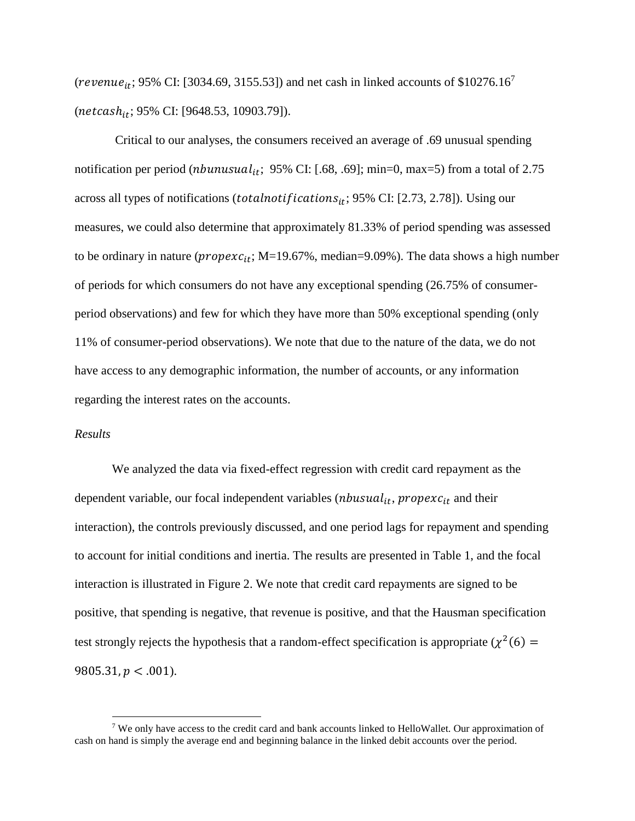(revenue<sub>it</sub>; 95% CI: [3034.69, 3155.53]) and net cash in linked accounts of \$10276.16<sup>7</sup>  $(net cash_{it}; 95\% \text{ CI: } [9648.53, 10903.79]).$ 

Critical to our analyses, the consumers received an average of .69 unusual spending notification per period (*nbunusual*<sub>it</sub>; 95% CI: [.68, .69]; min=0, max=5) from a total of 2.75 across all types of notifications (*totalnotifications*<sub>it</sub>; 95% CI: [2.73, 2.78]). Using our measures, we could also determine that approximately 81.33% of period spending was assessed to be ordinary in nature ( $propexc_{it}$ ; M=19.67%, median=9.09%). The data shows a high number of periods for which consumers do not have any exceptional spending (26.75% of consumerperiod observations) and few for which they have more than 50% exceptional spending (only 11% of consumer-period observations). We note that due to the nature of the data, we do not have access to any demographic information, the number of accounts, or any information regarding the interest rates on the accounts.

#### *Results*

 $\overline{a}$ 

We analyzed the data via fixed-effect regression with credit card repayment as the dependent variable, our focal independent variables ( $nbusual_{it}$ ,  $propexc_{it}$  and their interaction), the controls previously discussed, and one period lags for repayment and spending to account for initial conditions and inertia. The results are presented in Table 1, and the focal interaction is illustrated in Figure 2. We note that credit card repayments are signed to be positive, that spending is negative, that revenue is positive, and that the Hausman specification test strongly rejects the hypothesis that a random-effect specification is appropriate ( $\chi^2(6)$  =  $9805.31, p < .001$ ).

<sup>7</sup> We only have access to the credit card and bank accounts linked to HelloWallet. Our approximation of cash on hand is simply the average end and beginning balance in the linked debit accounts over the period.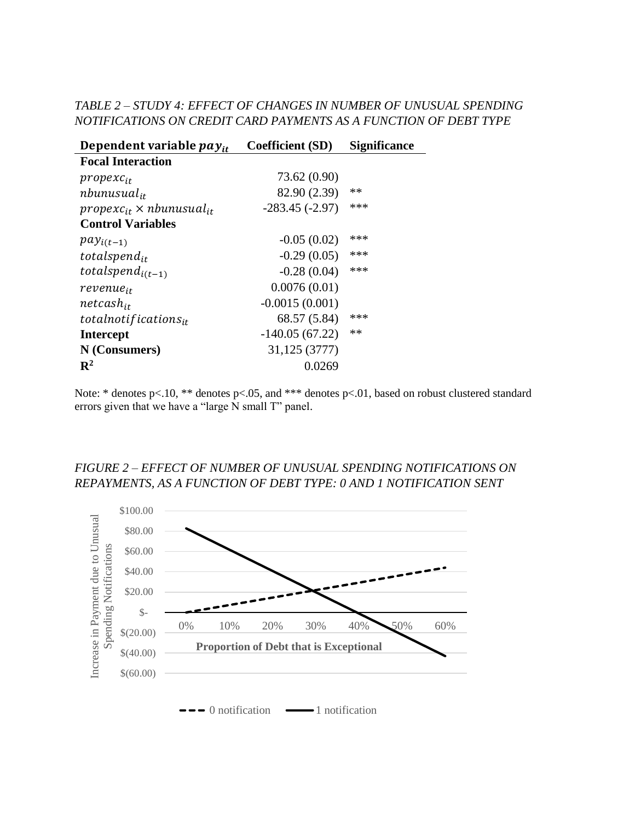# *TABLE 2 – STUDY 4: EFFECT OF CHANGES IN NUMBER OF UNUSUAL SPENDING NOTIFICATIONS ON CREDIT CARD PAYMENTS AS A FUNCTION OF DEBT TYPE*

| Dependent variable $pay_{it}$        | <b>Coefficient (SD)</b> | <b>Significance</b> |
|--------------------------------------|-------------------------|---------------------|
| <b>Focal Interaction</b>             |                         |                     |
| $propexc_{it}$                       | 73.62 (0.90)            |                     |
| $n$ bunusual <sub>it</sub>           | 82.90 (2.39)            | $**$                |
| $propexc_{it} \times nbunusual_{it}$ | $-283.45(-2.97)$        | ***                 |
| <b>Control Variables</b>             |                         |                     |
| $pay_{i(t-1)}$                       | $-0.05(0.02)$           | ***                 |
| totalspend <sub>it</sub>             | $-0.29(0.05)$           | ***                 |
| totalspend <sub>i(t-1)</sub>         | $-0.28(0.04)$           | ***                 |
| revenue <sub>it</sub>                | 0.0076(0.01)            |                     |
| $net cash_{it}$                      | $-0.0015(0.001)$        |                     |
| totalnotifications $_{it}$           | 68.57 (5.84)            | ***                 |
| <b>Intercept</b>                     | $-140.05(67.22)$        | $**$                |
| N (Consumers)                        | 31,125 (3777)           |                     |
| $\mathbf{R}^2$                       | 0.0269                  |                     |

Note: \* denotes p<.10, \*\* denotes p<.05, and \*\*\* denotes p<.01, based on robust clustered standard errors given that we have a "large  $\bar{N}$  small T" panel.

# *FIGURE 2 – EFFECT OF NUMBER OF UNUSUAL SPENDING NOTIFICATIONS ON REPAYMENTS, AS A FUNCTION OF DEBT TYPE: 0 AND 1 NOTIFICATION SENT*

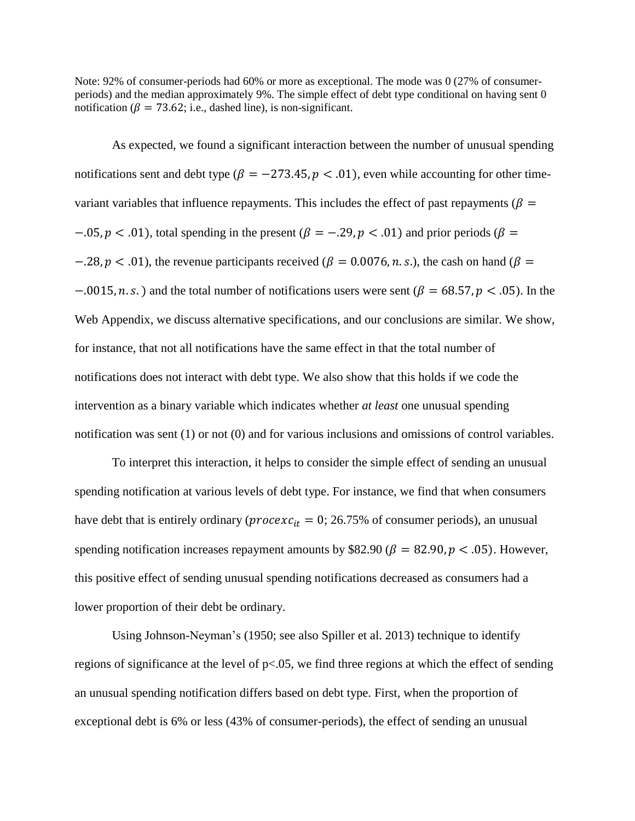Note: 92% of consumer-periods had 60% or more as exceptional. The mode was 0 (27% of consumerperiods) and the median approximately 9%. The simple effect of debt type conditional on having sent 0 notification ( $\beta = 73.62$ ; i.e., dashed line), is non-significant.

As expected, we found a significant interaction between the number of unusual spending notifications sent and debt type ( $\beta = -273.45$ ,  $p < .01$ ), even while accounting for other timevariant variables that influence repayments. This includes the effect of past repayments ( $\beta$  =  $-0.05, p < 0.01$ , total spending in the present ( $\beta = -0.29, p < 0.01$ ) and prior periods ( $\beta =$  $-0.28$ ,  $p < 0.01$ ), the revenue participants received ( $\beta = 0.0076$ , n.s.), the cash on hand ( $\beta = 0.0076$ )  $-0.0015$ , n. s.) and the total number of notifications users were sent ( $\beta = 68.57$ ,  $p < 0.05$ ). In the Web Appendix, we discuss alternative specifications, and our conclusions are similar. We show, for instance, that not all notifications have the same effect in that the total number of notifications does not interact with debt type. We also show that this holds if we code the intervention as a binary variable which indicates whether *at least* one unusual spending notification was sent (1) or not (0) and for various inclusions and omissions of control variables.

To interpret this interaction, it helps to consider the simple effect of sending an unusual spending notification at various levels of debt type. For instance, we find that when consumers have debt that is entirely ordinary ( $\text{procedure } x_{it} = 0$ ; 26.75% of consumer periods), an unusual spending notification increases repayment amounts by \$82.90 ( $\beta = 82.90$ ,  $p < .05$ ). However, this positive effect of sending unusual spending notifications decreased as consumers had a lower proportion of their debt be ordinary.

Using Johnson-Neyman's (1950; see also Spiller et al. 2013) technique to identify regions of significance at the level of  $p<0.05$ , we find three regions at which the effect of sending an unusual spending notification differs based on debt type. First, when the proportion of exceptional debt is 6% or less (43% of consumer-periods), the effect of sending an unusual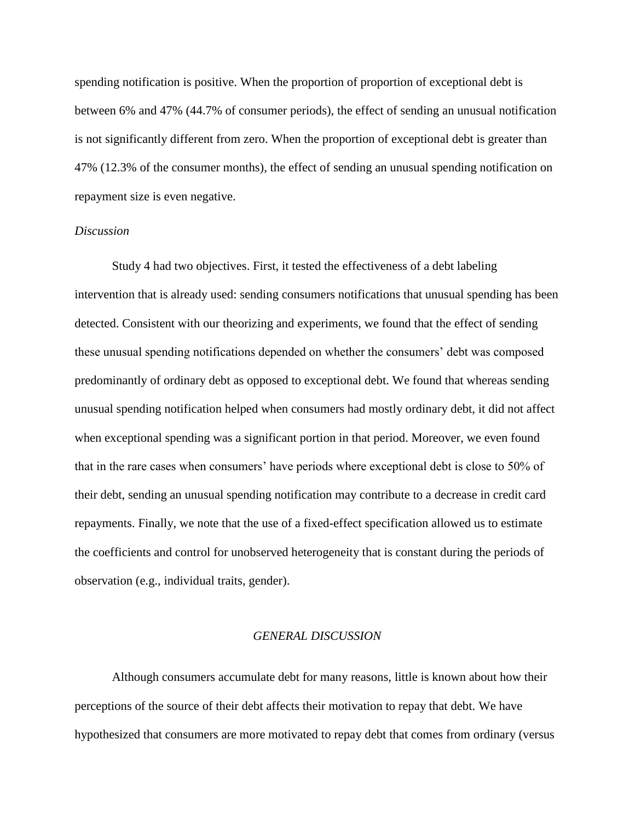spending notification is positive. When the proportion of proportion of exceptional debt is between 6% and 47% (44.7% of consumer periods), the effect of sending an unusual notification is not significantly different from zero. When the proportion of exceptional debt is greater than 47% (12.3% of the consumer months), the effect of sending an unusual spending notification on repayment size is even negative.

#### *Discussion*

Study 4 had two objectives. First, it tested the effectiveness of a debt labeling intervention that is already used: sending consumers notifications that unusual spending has been detected. Consistent with our theorizing and experiments, we found that the effect of sending these unusual spending notifications depended on whether the consumers' debt was composed predominantly of ordinary debt as opposed to exceptional debt. We found that whereas sending unusual spending notification helped when consumers had mostly ordinary debt, it did not affect when exceptional spending was a significant portion in that period. Moreover, we even found that in the rare cases when consumers' have periods where exceptional debt is close to 50% of their debt, sending an unusual spending notification may contribute to a decrease in credit card repayments. Finally, we note that the use of a fixed-effect specification allowed us to estimate the coefficients and control for unobserved heterogeneity that is constant during the periods of observation (e.g., individual traits, gender).

#### *GENERAL DISCUSSION*

Although consumers accumulate debt for many reasons, little is known about how their perceptions of the source of their debt affects their motivation to repay that debt. We have hypothesized that consumers are more motivated to repay debt that comes from ordinary (versus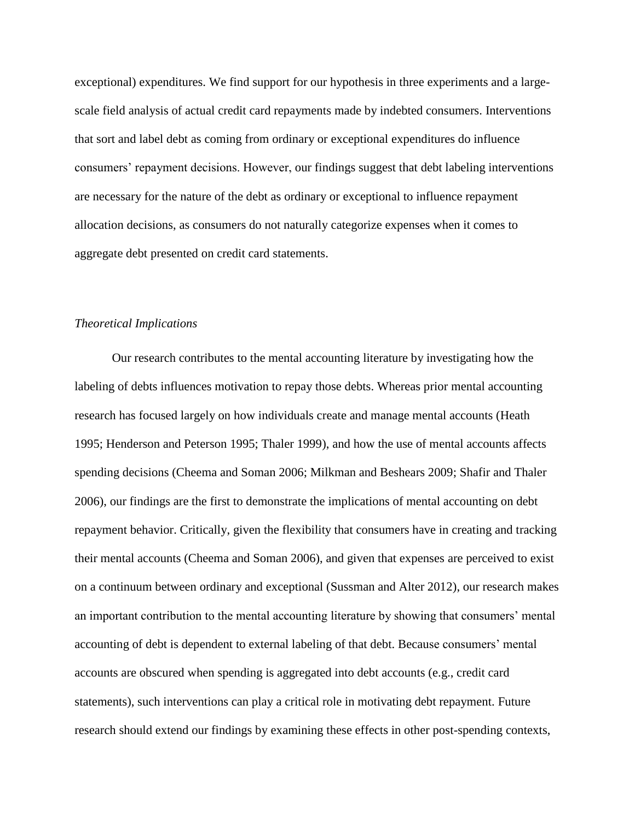exceptional) expenditures. We find support for our hypothesis in three experiments and a largescale field analysis of actual credit card repayments made by indebted consumers. Interventions that sort and label debt as coming from ordinary or exceptional expenditures do influence consumers' repayment decisions. However, our findings suggest that debt labeling interventions are necessary for the nature of the debt as ordinary or exceptional to influence repayment allocation decisions, as consumers do not naturally categorize expenses when it comes to aggregate debt presented on credit card statements.

#### *Theoretical Implications*

Our research contributes to the mental accounting literature by investigating how the labeling of debts influences motivation to repay those debts. Whereas prior mental accounting research has focused largely on how individuals create and manage mental accounts (Heath 1995; Henderson and Peterson 1995; Thaler 1999), and how the use of mental accounts affects spending decisions (Cheema and Soman 2006; Milkman and Beshears 2009; Shafir and Thaler 2006), our findings are the first to demonstrate the implications of mental accounting on debt repayment behavior. Critically, given the flexibility that consumers have in creating and tracking their mental accounts (Cheema and Soman 2006), and given that expenses are perceived to exist on a continuum between ordinary and exceptional (Sussman and Alter 2012), our research makes an important contribution to the mental accounting literature by showing that consumers' mental accounting of debt is dependent to external labeling of that debt. Because consumers' mental accounts are obscured when spending is aggregated into debt accounts (e.g., credit card statements), such interventions can play a critical role in motivating debt repayment. Future research should extend our findings by examining these effects in other post-spending contexts,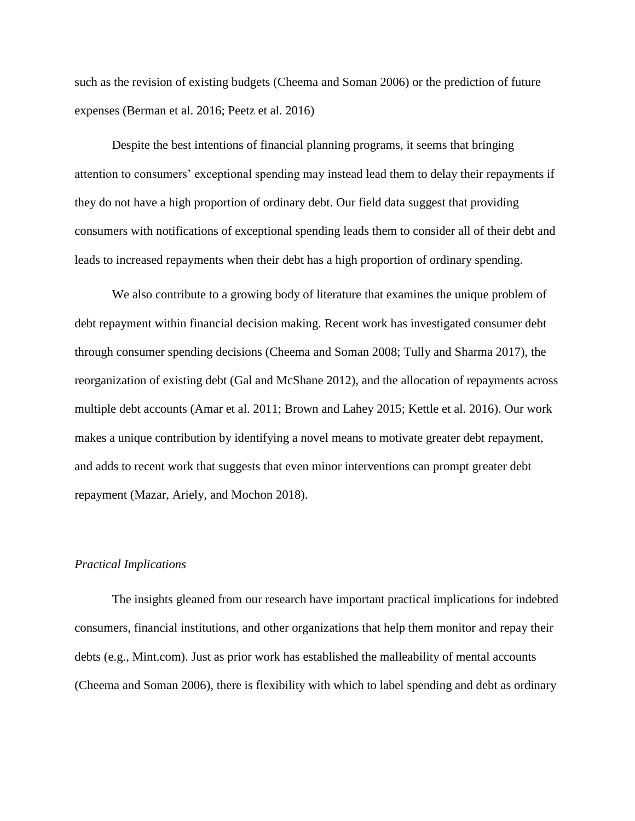such as the revision of existing budgets (Cheema and Soman 2006) or the prediction of future expenses (Berman et al. 2016; Peetz et al. 2016)

Despite the best intentions of financial planning programs, it seems that bringing attention to consumers' exceptional spending may instead lead them to delay their repayments if they do not have a high proportion of ordinary debt. Our field data suggest that providing consumers with notifications of exceptional spending leads them to consider all of their debt and leads to increased repayments when their debt has a high proportion of ordinary spending.

We also contribute to a growing body of literature that examines the unique problem of debt repayment within financial decision making. Recent work has investigated consumer debt through consumer spending decisions (Cheema and Soman 2008; Tully and Sharma 2017), the reorganization of existing debt (Gal and McShane 2012), and the allocation of repayments across multiple debt accounts (Amar et al. 2011; Brown and Lahey 2015; Kettle et al. 2016). Our work makes a unique contribution by identifying a novel means to motivate greater debt repayment, and adds to recent work that suggests that even minor interventions can prompt greater debt repayment (Mazar, Ariely, and Mochon 2018).

#### *Practical Implications*

The insights gleaned from our research have important practical implications for indebted consumers, financial institutions, and other organizations that help them monitor and repay their debts (e.g., Mint.com). Just as prior work has established the malleability of mental accounts (Cheema and Soman 2006), there is flexibility with which to label spending and debt as ordinary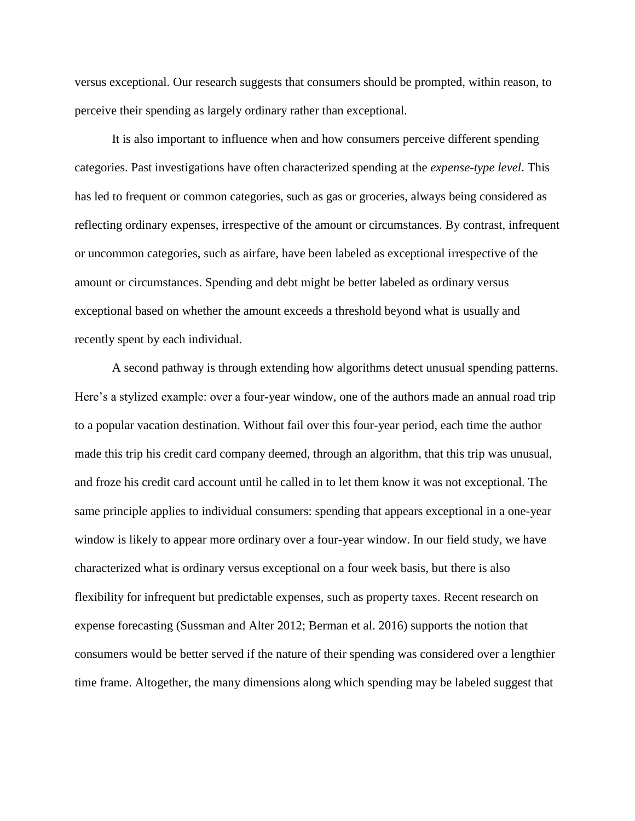versus exceptional. Our research suggests that consumers should be prompted, within reason, to perceive their spending as largely ordinary rather than exceptional.

It is also important to influence when and how consumers perceive different spending categories. Past investigations have often characterized spending at the *expense-type level*. This has led to frequent or common categories, such as gas or groceries, always being considered as reflecting ordinary expenses, irrespective of the amount or circumstances. By contrast, infrequent or uncommon categories, such as airfare, have been labeled as exceptional irrespective of the amount or circumstances. Spending and debt might be better labeled as ordinary versus exceptional based on whether the amount exceeds a threshold beyond what is usually and recently spent by each individual.

A second pathway is through extending how algorithms detect unusual spending patterns. Here's a stylized example: over a four-year window, one of the authors made an annual road trip to a popular vacation destination. Without fail over this four-year period, each time the author made this trip his credit card company deemed, through an algorithm, that this trip was unusual, and froze his credit card account until he called in to let them know it was not exceptional. The same principle applies to individual consumers: spending that appears exceptional in a one-year window is likely to appear more ordinary over a four-year window. In our field study, we have characterized what is ordinary versus exceptional on a four week basis, but there is also flexibility for infrequent but predictable expenses, such as property taxes. Recent research on expense forecasting (Sussman and Alter 2012; Berman et al. 2016) supports the notion that consumers would be better served if the nature of their spending was considered over a lengthier time frame. Altogether, the many dimensions along which spending may be labeled suggest that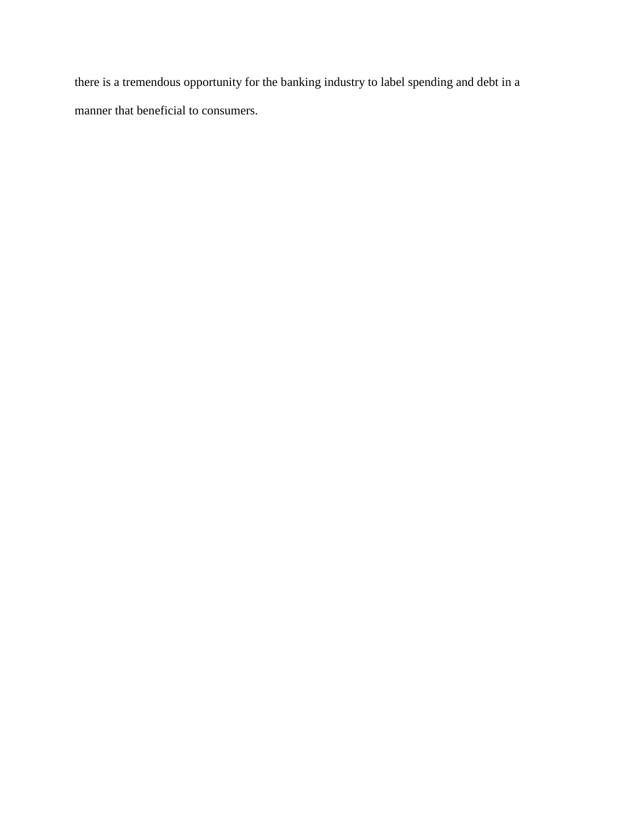there is a tremendous opportunity for the banking industry to label spending and debt in a manner that beneficial to consumers.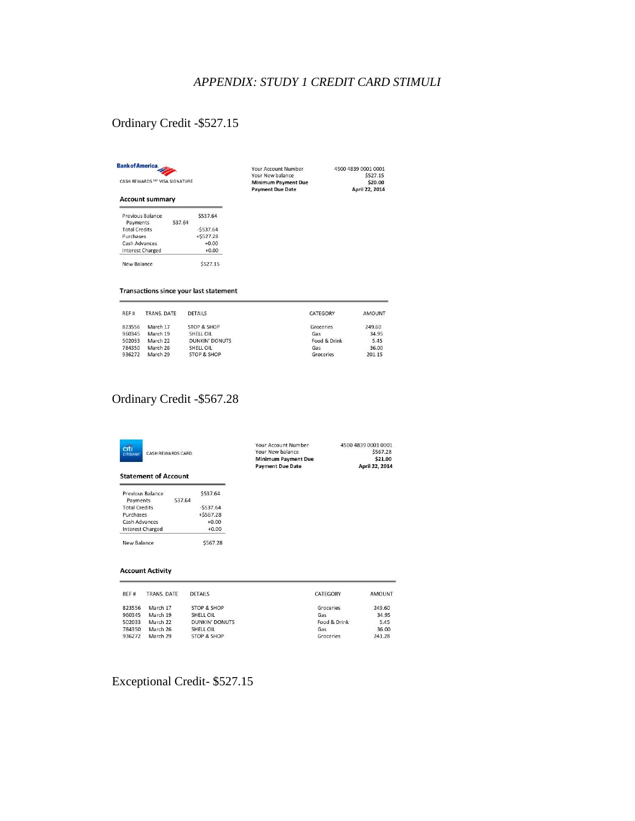## *APPENDIX: STUDY 1 CREDIT CARD STIMULI*

# Ordinary Credit -\$527.15

|--|

**Account summary** 

Previous Balance<br>Payments<br>Total Credits<br>Purchases

Purchases<br>Cash Advances<br>Interest Charged

New Balance

CASH REWARDS SM VISA SIGNATURE

Your Account Number **Your New balance<br>Minimum Payment Due<br>Payment Due Date** 

4500 4839 0001 0001<br>\$527.15<br>**\$20.00<br>April 22, 2014** 

Transactions since your last statement

537.64

\$537.64

-\$537.64<br>+\$527.28

 $+0.00$ <br> $+0.00$ 

\$527.15

| REF <sub>#</sub> | TRANS, DATE | <b>DETAILS</b>         | CATEGORY     | <b>AMOUNT</b> |
|------------------|-------------|------------------------|--------------|---------------|
| 823556           | March 17    | <b>STOP &amp; SHOP</b> | Groceries    | 249.60        |
| 960345           | March 19    | SHELL OIL              | Gas          | 34.95         |
| 502033           | March 22    | <b>DUNKIN' DONUTS</b>  | Food & Drink | 5.45          |
| 784350           | March 26    | SHELL OIL              | Gas          | 36.00         |
| 936272           | March 29    | STOP & SHOP            | Groceries    | 201.15        |

# Ordinary Credit -\$567.28

| citi<br><b>CASH REWARDS CARD</b><br><b>CITIBANK</b><br><b>Statement of Account</b> |                                        |                        | Your Account Number<br>Your New balance<br><b>Minimum Payment Due</b><br><b>Payment Due Date</b> |              | 4500 4839 0001 0001<br>\$567.28<br>\$21.00<br>April 22, 2014 |
|------------------------------------------------------------------------------------|----------------------------------------|------------------------|--------------------------------------------------------------------------------------------------|--------------|--------------------------------------------------------------|
|                                                                                    | Previous Balance                       | \$537.64               |                                                                                                  |              |                                                              |
| Payments                                                                           | 537.64                                 |                        |                                                                                                  |              |                                                              |
| <b>Total Credits</b>                                                               |                                        | $-5537.64$             |                                                                                                  |              |                                                              |
| Purchases                                                                          |                                        | $+ $567.28$            |                                                                                                  |              |                                                              |
| <b>Cash Advances</b>                                                               |                                        | $+0.00$                |                                                                                                  |              |                                                              |
| Interest Charged                                                                   |                                        | $+0.00$                |                                                                                                  |              |                                                              |
| \$567.28<br>New Balance                                                            |                                        |                        |                                                                                                  |              |                                                              |
| REF#                                                                               | <b>Account Activity</b><br>TRANS, DATE | <b>DETAILS</b>         |                                                                                                  | CATEGORY     | <b>AMOUNT</b>                                                |
| 823556                                                                             | March 17                               | STOP & SHOP            |                                                                                                  | Groceries    | 249.60                                                       |
| 960345                                                                             | March 19                               | SHELL OIL              |                                                                                                  | Gas          | 34.95                                                        |
| 502033                                                                             | March 22                               | <b>DUNKIN' DONUTS</b>  |                                                                                                  | Food & Drink | 5.45                                                         |
| 784350                                                                             | March 26                               | SHELL OIL              |                                                                                                  | Gas          | 36.00                                                        |
| 936272                                                                             | March 29                               | <b>STOP &amp; SHOP</b> |                                                                                                  | Groceries    | 241.28                                                       |

Exceptional Credit- \$527.15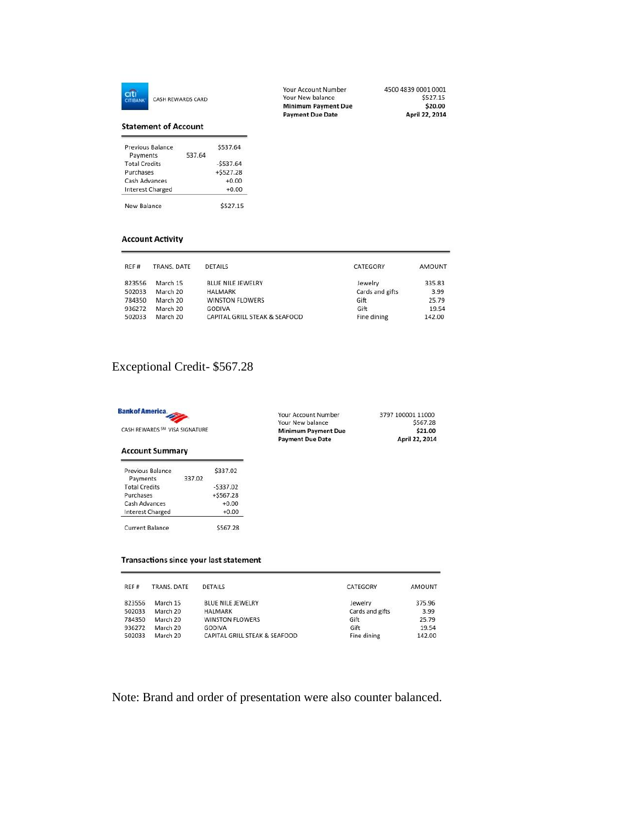

CASH REWARDS CARD

#### **Statement of Account**

| New Balance             |        | \$527.15   |
|-------------------------|--------|------------|
| <b>Interest Charged</b> |        | $+0.00$    |
| Cash Advances           |        | $+0.00$    |
| Purchases               |        | $+5527.28$ |
| <b>Total Credits</b>    |        | $-5537.64$ |
| Payments                | 537.64 |            |
| Previous Balance        |        | \$537.64   |

#### **Account Activity**

| REF#   | TRANS, DATE | <b>DETAILS</b>                | CATEGORY        | <b>AMOUNT</b> |
|--------|-------------|-------------------------------|-----------------|---------------|
| 823556 | March 15    | <b>BLUE NILE JEWELRY</b>      | Jewelry         | 335.83        |
| 502033 | March 20    | <b>HALMARK</b>                | Cards and gifts | 3.99          |
| 784350 | March 20    | <b>WINSTON FLOWERS</b>        | Gift            | 25.79         |
| 936272 | March 20    | <b>GODIVA</b>                 | Gift            | 19.54         |
| 502033 | March 20    | CAPITAL GRILL STEAK & SEAFOOD | Fine dining     | 142.00        |

# Exceptional Credit- \$567.28

| <b>Bank of America</b><br>CASH REWARDS SM VISA SIGNATURE<br><b>Account Summary</b> |             |                                        | Your Account Number<br>Your New balance<br><b>Minimum Payment Due</b><br><b>Payment Due Date</b> | 3797 100001 11000<br>\$567.28<br>\$21.00<br>April 22, 2014 |
|------------------------------------------------------------------------------------|-------------|----------------------------------------|--------------------------------------------------------------------------------------------------|------------------------------------------------------------|
| Previous Balance                                                                   |             | \$337.02                               |                                                                                                  |                                                            |
| Payments                                                                           | 337.02      |                                        |                                                                                                  |                                                            |
| <b>Total Credits</b>                                                               |             | $-5337.02$                             |                                                                                                  |                                                            |
| Purchases                                                                          |             | $+5567.28$                             |                                                                                                  |                                                            |
| Cash Advances                                                                      |             | $+0.00$                                |                                                                                                  |                                                            |
| Interest Charged                                                                   |             | $+0.00$                                |                                                                                                  |                                                            |
| <b>Current Balance</b>                                                             |             | \$567.28                               |                                                                                                  |                                                            |
|                                                                                    |             | Transactions since your last statement |                                                                                                  |                                                            |
| RFF#                                                                               | TRANS, DATE | <b>DETAILS</b>                         | CATEGORY                                                                                         | <b>AMOUNT</b>                                              |
|                                                                                    | March 15    | <b>BLUE NILE JEWELRY</b>               | Jewelry                                                                                          | 375.96                                                     |
| 823556<br>502033                                                                   | March 20    | <b>HALMARK</b>                         |                                                                                                  | Cards and gifts                                            |
| 784350                                                                             | March 20    | <b>WINSTON FLOWERS</b>                 | Gift                                                                                             | 3.99<br>25.79                                              |
| 936272                                                                             | March 20    | GODIVA                                 | Gift                                                                                             | 19.54                                                      |

Note: Brand and order of presentation were also counter balanced.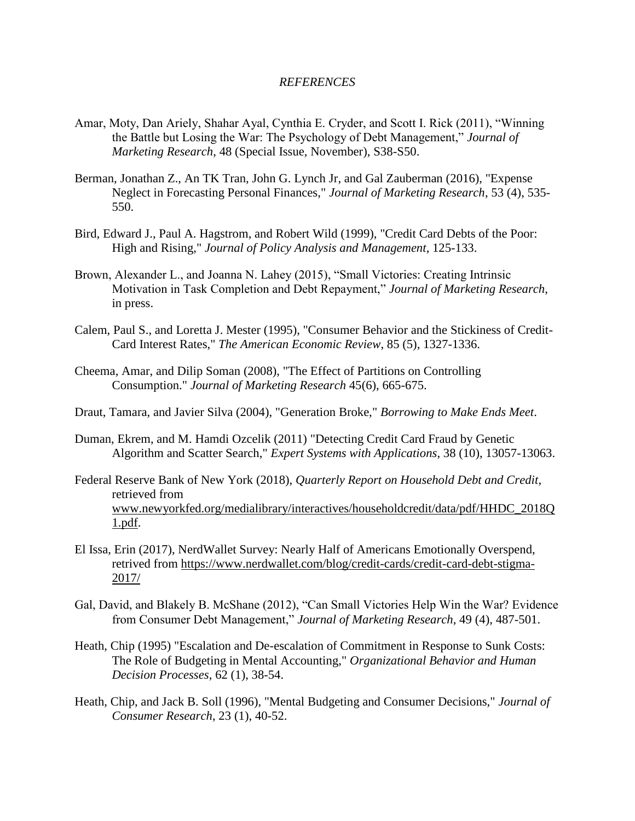#### *REFERENCES*

- Amar, Moty, Dan Ariely, Shahar Ayal, Cynthia E. Cryder, and Scott I. Rick (2011), "Winning the Battle but Losing the War: The Psychology of Debt Management," *Journal of Marketing Research*, 48 (Special Issue, November), S38-S50.
- Berman, Jonathan Z., An TK Tran, John G. Lynch Jr, and Gal Zauberman (2016), "Expense Neglect in Forecasting Personal Finances," *Journal of Marketing Research*, 53 (4), 535- 550.
- Bird, Edward J., Paul A. Hagstrom, and Robert Wild (1999), "Credit Card Debts of the Poor: High and Rising," *Journal of Policy Analysis and Management*, 125-133.
- Brown, Alexander L., and Joanna N. Lahey (2015), "Small Victories: Creating Intrinsic Motivation in Task Completion and Debt Repayment," *Journal of Marketing Research*, in press.
- Calem, Paul S., and Loretta J. Mester (1995), "Consumer Behavior and the Stickiness of Credit-Card Interest Rates," *The American Economic Review*, 85 (5), 1327-1336.
- Cheema, Amar, and Dilip Soman (2008), "The Effect of Partitions on Controlling Consumption." *Journal of Marketing Research* 45(6), 665-675.
- Draut, Tamara, and Javier Silva (2004), "Generation Broke," *Borrowing to Make Ends Meet*.
- Duman, Ekrem, and M. Hamdi Ozcelik (2011) "Detecting Credit Card Fraud by Genetic Algorithm and Scatter Search," *Expert Systems with Applications*, 38 (10), 13057-13063.
- Federal Reserve Bank of New York (2018), *Quarterly Report on Household Debt and Credit*, retrieved from [www.newyorkfed.org/medialibrary/interactives/householdcredit/data/pdf/HHDC\\_2018Q](http://www.newyorkfed.org/medialibrary/interactives/householdcredit/data/pdf/HHDC_2018Q1.pdf) [1.pdf.](http://www.newyorkfed.org/medialibrary/interactives/householdcredit/data/pdf/HHDC_2018Q1.pdf)
- El Issa, Erin (2017), NerdWallet Survey: Nearly Half of Americans Emotionally Overspend, retrived from [https://www.nerdwallet.com/blog/credit-cards/credit-card-debt-stigma-](https://www.nerdwallet.com/blog/credit-cards/credit-card-debt-stigma-2017/)[2017/](https://www.nerdwallet.com/blog/credit-cards/credit-card-debt-stigma-2017/)
- Gal, David, and Blakely B. McShane (2012), "Can Small Victories Help Win the War? Evidence from Consumer Debt Management," *Journal of Marketing Research*, 49 (4), 487-501.
- Heath, Chip (1995) "Escalation and De-escalation of Commitment in Response to Sunk Costs: The Role of Budgeting in Mental Accounting," *Organizational Behavior and Human Decision Processes*, 62 (1), 38-54.
- Heath, Chip, and Jack B. Soll (1996), "Mental Budgeting and Consumer Decisions," *Journal of Consumer Research*, 23 (1), 40-52.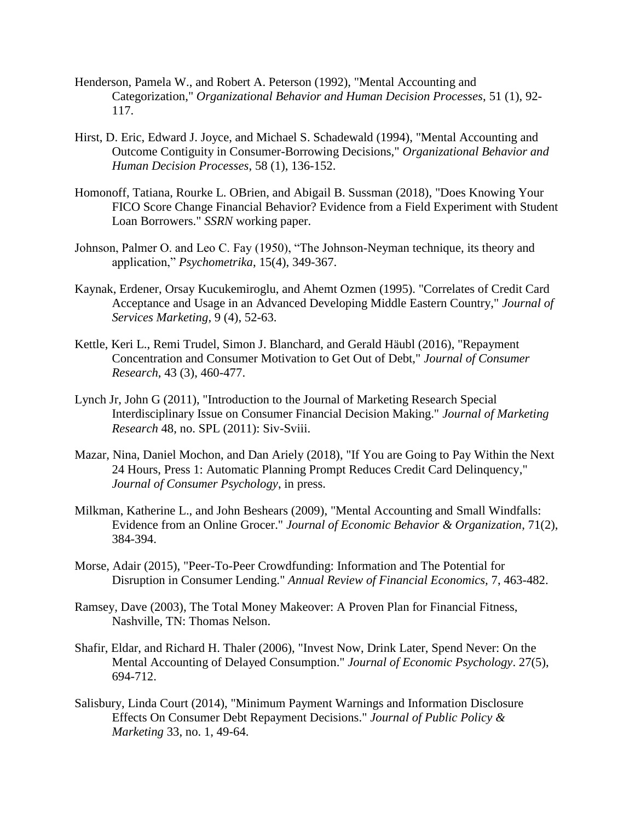- Henderson, Pamela W., and Robert A. Peterson (1992), "Mental Accounting and Categorization," *Organizational Behavior and Human Decision Processes*, 51 (1), 92- 117.
- Hirst, D. Eric, Edward J. Joyce, and Michael S. Schadewald (1994), "Mental Accounting and Outcome Contiguity in Consumer-Borrowing Decisions," *Organizational Behavior and Human Decision Processes*, 58 (1), 136-152.
- Homonoff, Tatiana, Rourke L. OBrien, and Abigail B. Sussman (2018), "Does Knowing Your FICO Score Change Financial Behavior? Evidence from a Field Experiment with Student Loan Borrowers." *SSRN* working paper.
- Johnson, Palmer O. and Leo C. Fay (1950), "The Johnson-Neyman technique, its theory and application," *Psychometrika*, 15(4), 349-367.
- Kaynak, Erdener, Orsay Kucukemiroglu, and Ahemt Ozmen (1995). "Correlates of Credit Card Acceptance and Usage in an Advanced Developing Middle Eastern Country," *Journal of Services Marketing*, 9 (4), 52-63.
- Kettle, Keri L., Remi Trudel, Simon J. Blanchard, and Gerald Häubl (2016), "Repayment Concentration and Consumer Motivation to Get Out of Debt," *Journal of Consumer Research*, 43 (3), 460-477.
- Lynch Jr, John G (2011), "Introduction to the Journal of Marketing Research Special Interdisciplinary Issue on Consumer Financial Decision Making." *Journal of Marketing Research* 48, no. SPL (2011): Siv-Sviii.
- Mazar, Nina, Daniel Mochon, and Dan Ariely (2018), "If You are Going to Pay Within the Next 24 Hours, Press 1: Automatic Planning Prompt Reduces Credit Card Delinquency," *Journal of Consumer Psychology*, in press.
- Milkman, Katherine L., and John Beshears (2009), "Mental Accounting and Small Windfalls: Evidence from an Online Grocer." *Journal of Economic Behavior & Organization*, 71(2), 384-394.
- Morse, Adair (2015), "Peer-To-Peer Crowdfunding: Information and The Potential for Disruption in Consumer Lending." *Annual Review of Financial Economics,* 7, 463-482.
- Ramsey, Dave (2003), The Total Money Makeover: A Proven Plan for Financial Fitness, Nashville, TN: Thomas Nelson.
- Shafir, Eldar, and Richard H. Thaler (2006), "Invest Now, Drink Later, Spend Never: On the Mental Accounting of Delayed Consumption." *Journal of Economic Psychology*. 27(5), 694-712.
- Salisbury, Linda Court (2014), "Minimum Payment Warnings and Information Disclosure Effects On Consumer Debt Repayment Decisions." *Journal of Public Policy & Marketing* 33, no. 1, 49-64.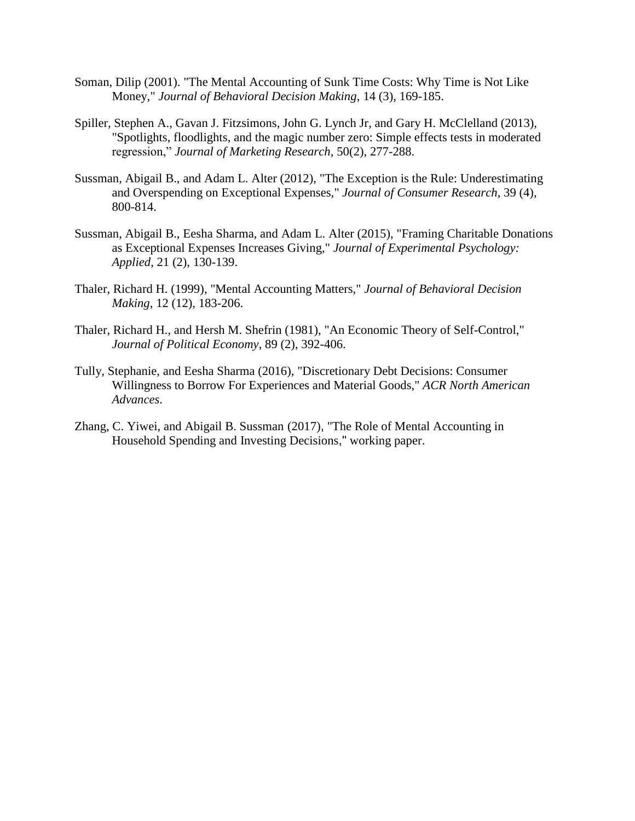- Soman, Dilip (2001). "The Mental Accounting of Sunk Time Costs: Why Time is Not Like Money," *Journal of Behavioral Decision Making*, 14 (3), 169-185.
- Spiller, Stephen A., Gavan J. Fitzsimons, John G. Lynch Jr, and Gary H. McClelland (2013), "Spotlights, floodlights, and the magic number zero: Simple effects tests in moderated regression," *Journal of Marketing Research,* 50(2), 277-288.
- Sussman, Abigail B., and Adam L. Alter (2012), "The Exception is the Rule: Underestimating and Overspending on Exceptional Expenses," *Journal of Consumer Research*, 39 (4), 800-814.
- Sussman, Abigail B., Eesha Sharma, and Adam L. Alter (2015), "Framing Charitable Donations as Exceptional Expenses Increases Giving," *Journal of Experimental Psychology: Applied*, 21 (2), 130-139.
- Thaler, Richard H. (1999), "Mental Accounting Matters," *Journal of Behavioral Decision Making*, 12 (12), 183-206.
- Thaler, Richard H., and Hersh M. Shefrin (1981), "An Economic Theory of Self-Control," *Journal of Political Economy*, 89 (2), 392-406.
- Tully, Stephanie, and Eesha Sharma (2016), "Discretionary Debt Decisions: Consumer Willingness to Borrow For Experiences and Material Goods," *ACR North American Advances*.
- Zhang, C. Yiwei, and Abigail B. Sussman (2017), "The Role of Mental Accounting in Household Spending and Investing Decisions," working paper.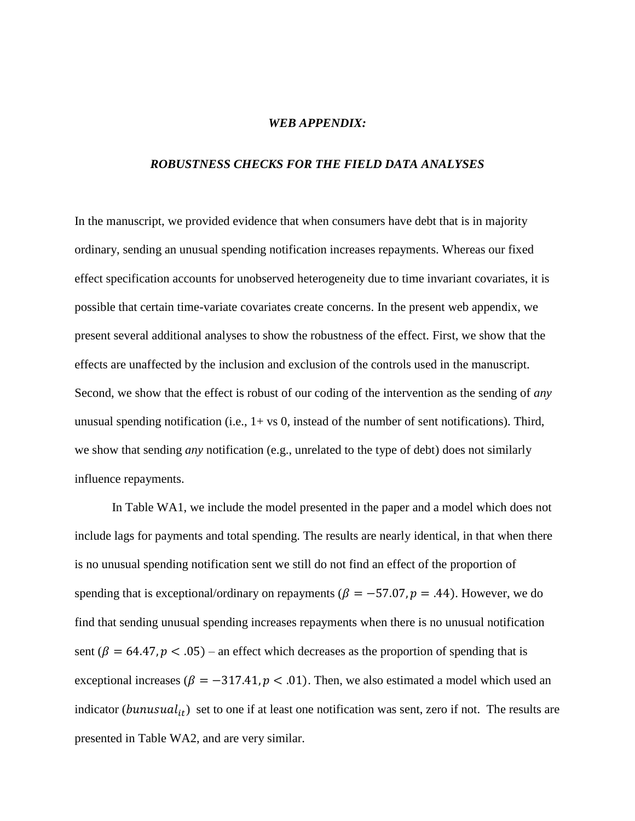#### *WEB APPENDIX:*

#### *ROBUSTNESS CHECKS FOR THE FIELD DATA ANALYSES*

In the manuscript, we provided evidence that when consumers have debt that is in majority ordinary, sending an unusual spending notification increases repayments. Whereas our fixed effect specification accounts for unobserved heterogeneity due to time invariant covariates, it is possible that certain time-variate covariates create concerns. In the present web appendix, we present several additional analyses to show the robustness of the effect. First, we show that the effects are unaffected by the inclusion and exclusion of the controls used in the manuscript. Second, we show that the effect is robust of our coding of the intervention as the sending of *any*  unusual spending notification (i.e.,  $1 + vs$  0, instead of the number of sent notifications). Third, we show that sending *any* notification (e.g., unrelated to the type of debt) does not similarly influence repayments.

In Table WA1, we include the model presented in the paper and a model which does not include lags for payments and total spending. The results are nearly identical, in that when there is no unusual spending notification sent we still do not find an effect of the proportion of spending that is exceptional/ordinary on repayments ( $\beta = -57.07$ ,  $p = .44$ ). However, we do find that sending unusual spending increases repayments when there is no unusual notification sent ( $\beta = 64.47$ ,  $p < .05$ ) – an effect which decreases as the proportion of spending that is exceptional increases ( $\beta = -317.41$ ,  $p < .01$ ). Then, we also estimated a model which used an indicator (bunusual<sub>it</sub>) set to one if at least one notification was sent, zero if not. The results are presented in Table WA2, and are very similar.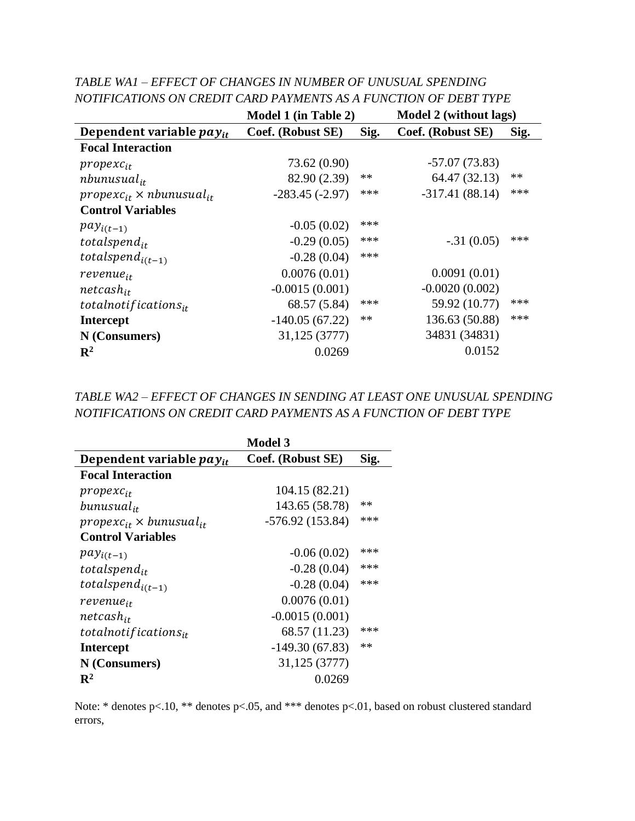|                                      | <b>Model 1 (in Table 2)</b> |      | Model 2 (without lags) |      |
|--------------------------------------|-----------------------------|------|------------------------|------|
| Dependent variable $pay_{it}$        | Coef. (Robust SE)           | Sig. | Coef. (Robust SE)      | Sig. |
| <b>Focal Interaction</b>             |                             |      |                        |      |
| $propexc_{it}$                       | 73.62 (0.90)                |      | $-57.07(73.83)$        |      |
| $n$ bunusual <sub>it</sub>           | 82.90 (2.39)                | $**$ | 64.47 (32.13)          | $**$ |
| $propexc_{it} \times nbunusual_{it}$ | $-283.45(-2.97)$            | ***  | $-317.41(88.14)$       | ***  |
| <b>Control Variables</b>             |                             |      |                        |      |
| $pay_{i(t-1)}$                       | $-0.05(0.02)$               | ***  |                        |      |
| totalspend <sub>it</sub>             | $-0.29(0.05)$               | ***  | $-.31(0.05)$           | ***  |
| totalspend <sub>i(t-1)</sub>         | $-0.28(0.04)$               | ***  |                        |      |
| revenue <sub>it</sub>                | 0.0076(0.01)                |      | 0.0091(0.01)           |      |
| $net cash_{it}$                      | $-0.0015(0.001)$            |      | $-0.0020(0.002)$       |      |
| totalnotifications $_{it}$           | 68.57 (5.84)                | ***  | 59.92 (10.77)          | ***  |
| <b>Intercept</b>                     | $-140.05(67.22)$            | **   | 136.63 (50.88)         | ***  |
| N (Consumers)                        | 31,125 (3777)               |      | 34831 (34831)          |      |
| $\mathbf{R}^2$                       | 0.0269                      |      | 0.0152                 |      |

*TABLE WA1 – EFFECT OF CHANGES IN NUMBER OF UNUSUAL SPENDING NOTIFICATIONS ON CREDIT CARD PAYMENTS AS A FUNCTION OF DEBT TYPE*

*TABLE WA2 – EFFECT OF CHANGES IN SENDING AT LEAST ONE UNUSUAL SPENDING NOTIFICATIONS ON CREDIT CARD PAYMENTS AS A FUNCTION OF DEBT TYPE*

|                                     | <b>Model 3</b>    |      |
|-------------------------------------|-------------------|------|
| Dependent variable $pay_{it}$       | Coef. (Robust SE) | Sig. |
| <b>Focal Interaction</b>            |                   |      |
| $propexc_{it}$                      | 104.15 (82.21)    |      |
| $b$ unusual <sub>it</sub>           | 143.65 (58.78)    | **   |
| $propexc_{it} \times bunusual_{it}$ | $-576.92(153.84)$ | ***  |
| <b>Control Variables</b>            |                   |      |
| $pay_{i(t-1)}$                      | $-0.06(0.02)$     | ***  |
| totalspend $_{it}$                  | $-0.28(0.04)$     | ***  |
| totalspend <sub>i(t-1)</sub>        | $-0.28(0.04)$     | ***  |
| revenue <sub>it</sub>               | 0.0076(0.01)      |      |
| $n$ etcas $h_{it}$                  | $-0.0015(0.001)$  |      |
| totalnotifications $_{it}$          | 68.57 (11.23)     | ***  |
| <b>Intercept</b>                    | $-149.30(67.83)$  | **   |
| N (Consumers)                       | 31,125 (3777)     |      |
| $\mathbf{R}^2$                      | 0.0269            |      |

Note: \* denotes p<.10, \*\* denotes p<.05, and \*\*\* denotes p<.01, based on robust clustered standard errors,